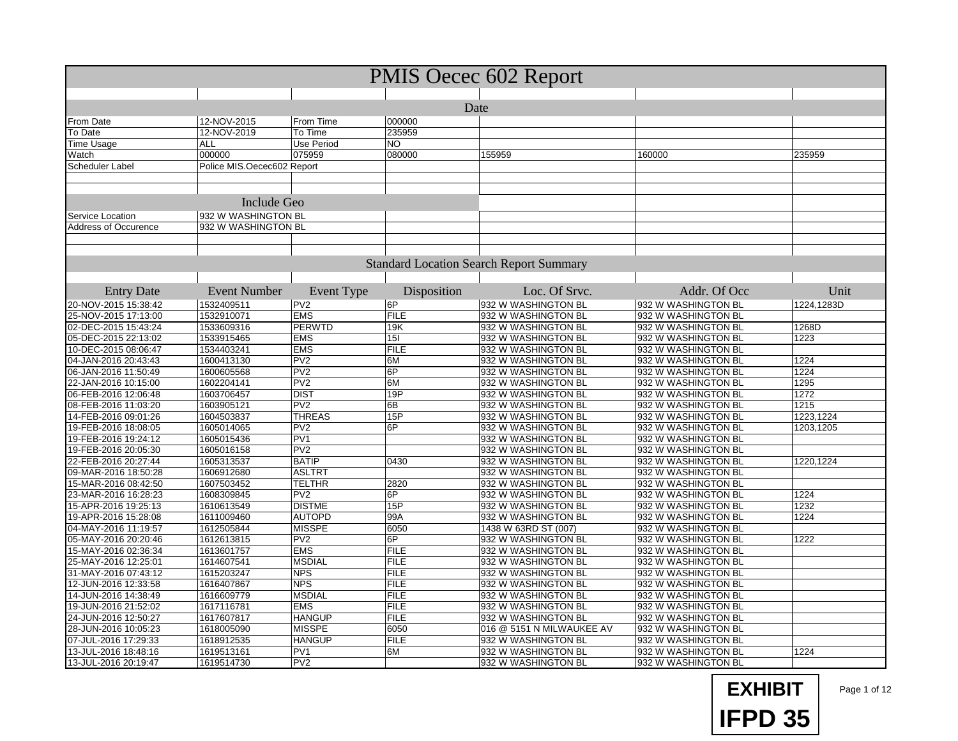| PMIS Oecec 602 Report  |                            |                   |             |                                                |                     |            |  |  |
|------------------------|----------------------------|-------------------|-------------|------------------------------------------------|---------------------|------------|--|--|
|                        |                            |                   |             |                                                |                     |            |  |  |
|                        |                            |                   |             | Date                                           |                     |            |  |  |
| From Date              | 12-NOV-2015                | From Time         | 000000      |                                                |                     |            |  |  |
| To Date                | 12-NOV-2019                | To Time           | 235959      |                                                |                     |            |  |  |
| <b>Time Usage</b>      | ALL                        | <b>Use Period</b> | NO          |                                                |                     |            |  |  |
| Watch                  | 000000                     | 075959            | 080000      | 155959                                         | 160000              | 235959     |  |  |
| <b>Scheduler Label</b> | Police MIS.Oecec602 Report |                   |             |                                                |                     |            |  |  |
|                        |                            |                   |             |                                                |                     |            |  |  |
|                        |                            |                   |             |                                                |                     |            |  |  |
|                        | <b>Include Geo</b>         |                   |             |                                                |                     |            |  |  |
| Service Location       | 932 W WASHINGTON BL        |                   |             |                                                |                     |            |  |  |
| Address of Occurence   | 932 W WASHINGTON BL        |                   |             |                                                |                     |            |  |  |
|                        |                            |                   |             |                                                |                     |            |  |  |
|                        |                            |                   |             |                                                |                     |            |  |  |
|                        |                            |                   |             | <b>Standard Location Search Report Summary</b> |                     |            |  |  |
|                        |                            |                   |             |                                                |                     |            |  |  |
| <b>Entry Date</b>      | <b>Event Number</b>        | <b>Event Type</b> | Disposition | Loc. Of Srvc.                                  | Addr. Of Occ        | Unit       |  |  |
| 20-NOV-2015 15:38:42   | 1532409511                 | PV2               | 6P          | 932 W WASHINGTON BL                            | 932 W WASHINGTON BL | 1224,1283D |  |  |
| 25-NOV-2015 17:13:00   | 1532910071                 | <b>EMS</b>        | <b>FILE</b> | 932 W WASHINGTON BL                            | 932 W WASHINGTON BL |            |  |  |
| 02-DEC-2015 15:43:24   | 1533609316                 | <b>PERWTD</b>     | 19K         | 932 W WASHINGTON BL                            | 932 W WASHINGTON BL | 1268D      |  |  |
| 05-DEC-2015 22:13:02   | 1533915465                 | <b>EMS</b>        | 15I         | 932 W WASHINGTON BL                            | 932 W WASHINGTON BL | 1223       |  |  |
| 10-DEC-2015 08:06:47   | 1534403241                 | <b>EMS</b>        | <b>FILE</b> | 932 W WASHINGTON BL                            | 932 W WASHINGTON BL |            |  |  |
| 04-JAN-2016 20:43:43   | 1600413130                 | PV <sub>2</sub>   | 6M          | 932 W WASHINGTON BL                            | 932 W WASHINGTON BL | 1224       |  |  |
| 06-JAN-2016 11:50:49   | 1600605568                 | PV <sub>2</sub>   | 6P          | 932 W WASHINGTON BL                            | 932 W WASHINGTON BL | 1224       |  |  |
| 22-JAN-2016 10:15:00   | 1602204141                 | PV <sub>2</sub>   | 6M          | 932 W WASHINGTON BL                            | 932 W WASHINGTON BL | 1295       |  |  |
| 06-FEB-2016 12:06:48   | 1603706457                 | <b>DIST</b>       | 19P         | 932 W WASHINGTON BL                            | 932 W WASHINGTON BL | 1272       |  |  |
| 08-FEB-2016 11:03:20   | 1603905121                 | PV <sub>2</sub>   | 6B          | 932 W WASHINGTON BL                            | 932 W WASHINGTON BL | 1215       |  |  |
| 14-FEB-2016 09:01:26   | 1604503837                 | <b>THREAS</b>     | 15P         | 932 W WASHINGTON BL                            | 932 W WASHINGTON BL | 1223,1224  |  |  |
| 19-FEB-2016 18:08:05   | 1605014065                 | PV <sub>2</sub>   | 6P          | 932 W WASHINGTON BL                            | 932 W WASHINGTON BL | 1203,1205  |  |  |
| 19-FEB-2016 19:24:12   | 1605015436                 | PV1               |             | 932 W WASHINGTON BL                            | 932 W WASHINGTON BL |            |  |  |
| 19-FEB-2016 20:05:30   | 1605016158                 | PV <sub>2</sub>   |             | 932 W WASHINGTON BL                            | 932 W WASHINGTON BL |            |  |  |
| 22-FEB-2016 20:27:44   | 1605313537                 | <b>BATIP</b>      | 0430        | 932 W WASHINGTON BL                            | 932 W WASHINGTON BL | 1220,1224  |  |  |
| 09-MAR-2016 18:50:28   | 1606912680                 | <b>ASLTRT</b>     |             | 932 W WASHINGTON BL                            | 932 W WASHINGTON BL |            |  |  |
| 15-MAR-2016 08:42:50   | 1607503452                 | <b>TELTHR</b>     | 2820        | 932 W WASHINGTON BL                            | 932 W WASHINGTON BL |            |  |  |
| 23-MAR-2016 16:28:23   | 1608309845                 | PV <sub>2</sub>   | 6P          | 932 W WASHINGTON BL                            | 932 W WASHINGTON BL | 1224       |  |  |
| 15-APR-2016 19:25:13   | 1610613549                 | <b>DISTME</b>     | 15P         | 932 W WASHINGTON BL                            | 932 W WASHINGTON BL | 1232       |  |  |
| 19-APR-2016 15:28:08   | 1611009460                 | <b>AUTOPD</b>     | 99A         | 932 W WASHINGTON BL                            | 932 W WASHINGTON BL | 1224       |  |  |
| 04-MAY-2016 11:19:57   | 1612505844                 | <b>MISSPE</b>     | 6050        | 1438 W 63RD ST (007)                           | 932 W WASHINGTON BL |            |  |  |
| 05-MAY-2016 20:20:46   | 1612613815                 | PV <sub>2</sub>   | 6P          | 932 W WASHINGTON BL                            | 932 W WASHINGTON BL | 1222       |  |  |
| 15-MAY-2016 02:36:34   | 1613601757                 | <b>EMS</b>        | <b>FILE</b> | 932 W WASHINGTON BL                            | 932 W WASHINGTON BL |            |  |  |
| 25-MAY-2016 12:25:01   | 1614607541                 | <b>MSDIAL</b>     | <b>FILE</b> | 932 W WASHINGTON BL                            | 932 W WASHINGTON BL |            |  |  |
| 31-MAY-2016 07:43:12   | 1615203247                 | <b>NPS</b>        | <b>FILE</b> | 932 W WASHINGTON BL                            | 932 W WASHINGTON BL |            |  |  |
| 12-JUN-2016 12:33:58   | 1616407867                 | <b>NPS</b>        | <b>FILE</b> | 932 W WASHINGTON BL                            | 932 W WASHINGTON BL |            |  |  |
| 14-JUN-2016 14:38:49   | 1616609779                 | <b>MSDIAL</b>     | <b>FILE</b> | 932 W WASHINGTON BL                            | 932 W WASHINGTON BL |            |  |  |
| 19-JUN-2016 21:52:02   | 1617116781                 | <b>EMS</b>        | <b>FILE</b> | 932 W WASHINGTON BL                            | 932 W WASHINGTON BL |            |  |  |
| 24-JUN-2016 12:50:27   | 1617607817                 | <b>HANGUP</b>     | <b>FILE</b> | 932 W WASHINGTON BL                            | 932 W WASHINGTON BL |            |  |  |
| 28-JUN-2016 10:05:23   | 1618005090                 | <b>MISSPE</b>     | 6050        | 016 @ 5151 N MILWAUKEE AV                      | 932 W WASHINGTON BL |            |  |  |
| 07-JUL-2016 17:29:33   | 1618912535                 | <b>HANGUP</b>     | <b>FILE</b> | 932 W WASHINGTON BL                            | 932 W WASHINGTON BL |            |  |  |
| 13-JUL-2016 18:48:16   | 1619513161                 | PV <sub>1</sub>   | 6M          | 932 W WASHINGTON BL                            | 932 W WASHINGTON BL | 1224       |  |  |
| 13-JUL-2016 20:19:47   | 1619514730                 | PV <sub>2</sub>   |             | 932 W WASHINGTON BL                            | 932 W WASHINGTON BL |            |  |  |

| <b>EXHIBIT</b> |  |
|----------------|--|
| <b>IFPD 35</b> |  |

г

Page 1 of 12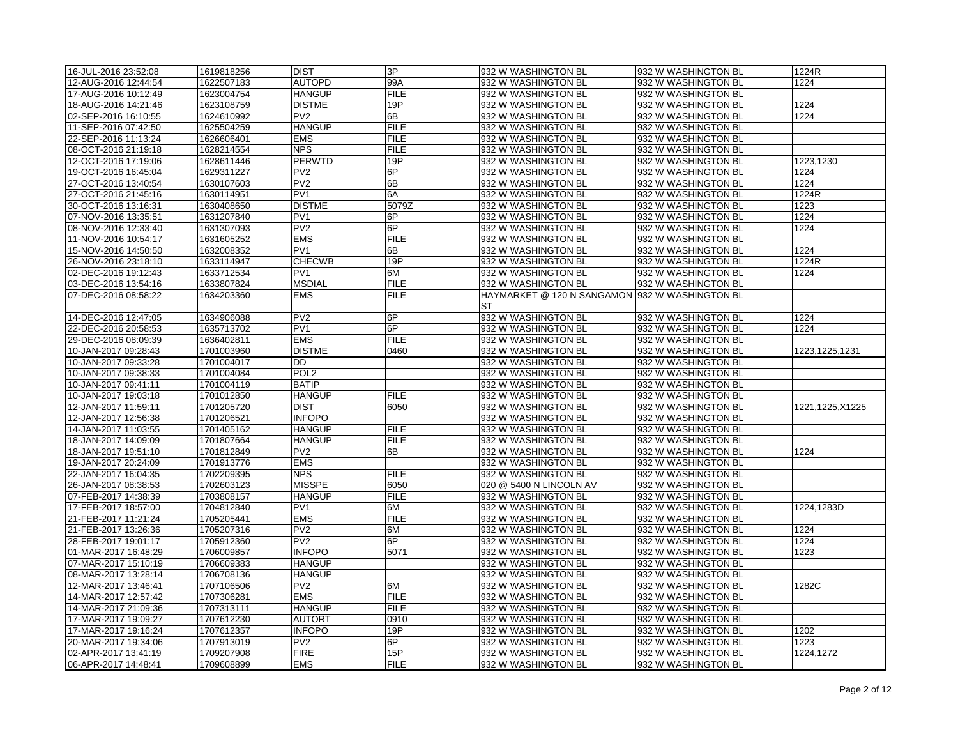| 16-JUL-2016 23:52:08 | 1619818256 | <b>DIST</b>      | l3P         | 932 W WASHINGTON BL                            | 932 W WASHINGTON BL | 1224R            |
|----------------------|------------|------------------|-------------|------------------------------------------------|---------------------|------------------|
| 12-AUG-2016 12:44:54 | 1622507183 | <b>AUTOPD</b>    | 99A         | 932 W WASHINGTON BL                            | 932 W WASHINGTON BL | 1224             |
| 17-AUG-2016 10:12:49 | 1623004754 | <b>HANGUP</b>    | <b>FILE</b> | 932 W WASHINGTON BL                            | 932 W WASHINGTON BL |                  |
| 18-AUG-2016 14:21:46 | 1623108759 | <b>DISTME</b>    | 19P         | 932 W WASHINGTON BL                            | 932 W WASHINGTON BL | 1224             |
| 02-SEP-2016 16:10:55 | 1624610992 | PV <sub>2</sub>  | 6B          | 932 W WASHINGTON BL                            | 932 W WASHINGTON BL | 1224             |
| 11-SEP-2016 07:42:50 | 1625504259 | <b>HANGUP</b>    | <b>FILE</b> | 932 W WASHINGTON BL                            | 932 W WASHINGTON BL |                  |
| 22-SEP-2016 11:13:24 | 1626606401 | <b>EMS</b>       | <b>FILE</b> | 932 W WASHINGTON BL                            | 932 W WASHINGTON BL |                  |
| 08-OCT-2016 21:19:18 | 1628214554 | <b>NPS</b>       | <b>FILE</b> | 932 W WASHINGTON BL                            | 932 W WASHINGTON BL |                  |
| 12-OCT-2016 17:19:06 | 1628611446 | <b>PERWTD</b>    | 19P         | 932 W WASHINGTON BL                            | 932 W WASHINGTON BL | 1223,1230        |
| 19-OCT-2016 16:45:04 | 1629311227 | PV <sub>2</sub>  | 6P          | 932 W WASHINGTON BL                            | 932 W WASHINGTON BL | 1224             |
| 27-OCT-2016 13:40:54 | 1630107603 | PV <sub>2</sub>  | 6B          | 932 W WASHINGTON BL                            | 932 W WASHINGTON BL | 1224             |
| 27-OCT-2016 21:45:16 | 1630114951 | PV <sub>1</sub>  | 6A          | 932 W WASHINGTON BL                            | 932 W WASHINGTON BL | 1224R            |
| 30-OCT-2016 13:16:31 | 1630408650 | <b>DISTME</b>    | 5079Z       | 932 W WASHINGTON BL                            | 932 W WASHINGTON BL | 1223             |
| 07-NOV-2016 13:35:51 | 1631207840 | PV <sub>1</sub>  | 6P          | 932 W WASHINGTON BL                            | 932 W WASHINGTON BL | 1224             |
| 08-NOV-2016 12:33:40 | 1631307093 | PV <sub>2</sub>  | 6P          | 932 W WASHINGTON BL                            | 932 W WASHINGTON BL | 1224             |
| 11-NOV-2016 10:54:17 | 1631605252 | <b>EMS</b>       | <b>FILE</b> | 932 W WASHINGTON BL                            | 932 W WASHINGTON BL |                  |
| 15-NOV-2016 14:50:50 | 1632008352 | PV <sub>1</sub>  | 6B          | 932 W WASHINGTON BL                            | 932 W WASHINGTON BL | 1224             |
| 26-NOV-2016 23:18:10 | 1633114947 | <b>CHECWB</b>    | 19P         | 932 W WASHINGTON BL                            | 932 W WASHINGTON BL | 1224R            |
| 02-DEC-2016 19:12:43 | 1633712534 | PV <sub>1</sub>  | 6M          | 932 W WASHINGTON BL                            | 932 W WASHINGTON BL | 1224             |
| 03-DEC-2016 13:54:16 | 1633807824 | <b>MSDIAL</b>    | <b>FILE</b> | 932 W WASHINGTON BL                            | 932 W WASHINGTON BL |                  |
| 07-DEC-2016 08:58:22 | 1634203360 | <b>EMS</b>       | <b>FILE</b> | HAYMARKET @ 120 N SANGAMON 932 W WASHINGTON BL |                     |                  |
|                      |            |                  |             | ST                                             |                     |                  |
| 14-DEC-2016 12:47:05 | 1634906088 | PV2              | 6P          | 932 W WASHINGTON BL                            | 932 W WASHINGTON BL | 1224             |
| 22-DEC-2016 20:58:53 | 1635713702 | PV <sub>1</sub>  | 6P          | 932 W WASHINGTON BL                            | 932 W WASHINGTON BL | 1224             |
| 29-DEC-2016 08:09:39 | 1636402811 | <b>EMS</b>       | <b>FILE</b> | 932 W WASHINGTON BL                            | 932 W WASHINGTON BL |                  |
| 10-JAN-2017 09:28:43 | 1701003960 | <b>DISTME</b>    | 0460        | 932 W WASHINGTON BL                            | 932 W WASHINGTON BL | 1223, 1225, 1231 |
| 10-JAN-2017 09:33:28 | 1701004017 | <b>DD</b>        |             | 932 W WASHINGTON BL                            | 932 W WASHINGTON BL |                  |
| 10-JAN-2017 09:38:33 | 1701004084 | POL <sub>2</sub> |             | 932 W WASHINGTON BL                            | 932 W WASHINGTON BL |                  |
| 10-JAN-2017 09:41:11 | 1701004119 | <b>BATIP</b>     |             | 932 W WASHINGTON BL                            | 932 W WASHINGTON BL |                  |
| 10-JAN-2017 19:03:18 | 1701012850 | <b>HANGUP</b>    | <b>FILE</b> | 932 W WASHINGTON BL                            | 932 W WASHINGTON BL |                  |
| 12-JAN-2017 11:59:11 | 1701205720 | <b>DIST</b>      | 6050        | 932 W WASHINGTON BL                            | 932 W WASHINGTON BL | 1221,1225, X1225 |
| 12-JAN-2017 12:56:38 | 1701206521 | <b>INFOPO</b>    |             | 932 W WASHINGTON BL                            | 932 W WASHINGTON BL |                  |
| 14-JAN-2017 11:03:55 | 1701405162 | <b>HANGUP</b>    | <b>FILE</b> | 932 W WASHINGTON BL                            | 932 W WASHINGTON BL |                  |
| 18-JAN-2017 14:09:09 | 1701807664 | <b>HANGUP</b>    | <b>FILE</b> | 932 W WASHINGTON BL                            | 932 W WASHINGTON BL |                  |
| 18-JAN-2017 19:51:10 | 1701812849 | PV2              | 6B          | 932 W WASHINGTON BL                            | 932 W WASHINGTON BL | 1224             |
| 19-JAN-2017 20:24:09 | 1701913776 | <b>EMS</b>       |             | 932 W WASHINGTON BL                            | 932 W WASHINGTON BL |                  |
| 22-JAN-2017 16:04:35 | 1702209395 | <b>NPS</b>       | <b>FILE</b> | 932 W WASHINGTON BL                            | 932 W WASHINGTON BL |                  |
| 26-JAN-2017 08:38:53 | 1702603123 | <b>MISSPE</b>    | 6050        | 020 @ 5400 N LINCOLN AV                        | 932 W WASHINGTON BL |                  |
| 07-FEB-2017 14:38:39 | 1703808157 | <b>HANGUP</b>    | <b>FILE</b> | 932 W WASHINGTON BL                            | 932 W WASHINGTON BL |                  |
| 17-FEB-2017 18:57:00 | 1704812840 | PV <sub>1</sub>  | 6M          | 932 W WASHINGTON BL                            | 932 W WASHINGTON BL | 1224,1283D       |
| 21-FEB-2017 11:21:24 | 1705205441 | <b>EMS</b>       | <b>FILE</b> | 932 W WASHINGTON BL                            | 932 W WASHINGTON BL |                  |
| 21-FEB-2017 13:26:36 | 1705207316 | PV <sub>2</sub>  | 6M          | 932 W WASHINGTON BL                            | 932 W WASHINGTON BL | 1224             |
| 28-FEB-2017 19:01:17 | 1705912360 | PV <sub>2</sub>  | 6P          | 932 W WASHINGTON BL                            | 932 W WASHINGTON BL | 1224             |
| 01-MAR-2017 16:48:29 | 1706009857 | <b>INFOPO</b>    | 5071        | 932 W WASHINGTON BL                            | 932 W WASHINGTON BL | 1223             |
| 07-MAR-2017 15:10:19 | 1706609383 | <b>HANGUP</b>    |             | 932 W WASHINGTON BL                            | 932 W WASHINGTON BL |                  |
| 08-MAR-2017 13:28:14 | 1706708136 | <b>HANGUP</b>    |             | 932 W WASHINGTON BL                            | 932 W WASHINGTON BL |                  |
| 12-MAR-2017 13:46:41 | 1707106506 | PV <sub>2</sub>  | 6M          | 932 W WASHINGTON BL                            | 932 W WASHINGTON BL | 1282C            |
| 14-MAR-2017 12:57:42 | 1707306281 | <b>EMS</b>       | <b>FILE</b> | 932 W WASHINGTON BL                            | 932 W WASHINGTON BL |                  |
| 14-MAR-2017 21:09:36 | 1707313111 | <b>HANGUP</b>    | <b>FILE</b> | 932 W WASHINGTON BL                            | 932 W WASHINGTON BL |                  |
| 17-MAR-2017 19:09:27 | 1707612230 | <b>AUTORT</b>    | 0910        | 932 W WASHINGTON BL                            | 932 W WASHINGTON BL |                  |
| 17-MAR-2017 19:16:24 | 1707612357 | <b>INFOPO</b>    | 19P         | 932 W WASHINGTON BL                            | 932 W WASHINGTON BL | 1202             |
| 20-MAR-2017 19:34:06 | 1707913019 | PV <sub>2</sub>  | 6P          | 932 W WASHINGTON BL                            | 932 W WASHINGTON BL | 1223             |
| 02-APR-2017 13:41:19 | 1709207908 | <b>FIRE</b>      | 15P         | 932 W WASHINGTON BL                            | 932 W WASHINGTON BL | 1224,1272        |
| 06-APR-2017 14:48:41 | 1709608899 | <b>EMS</b>       | <b>FILE</b> | 932 W WASHINGTON BL                            | 932 W WASHINGTON BL |                  |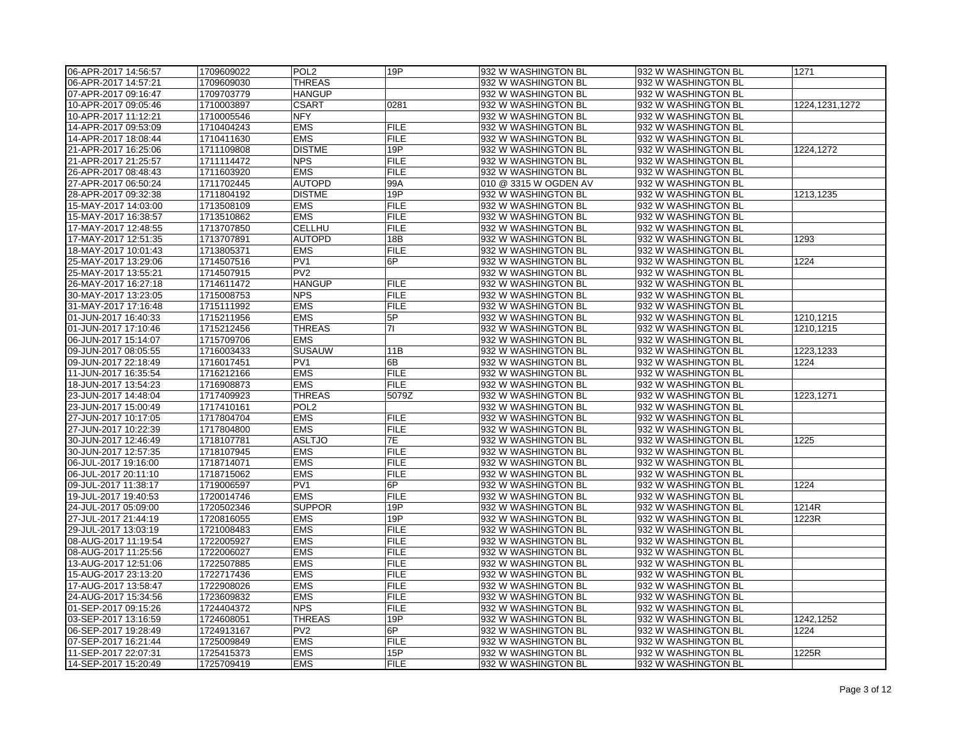| 06-APR-2017 14:56:57 | 1709609022 | POL <sub>2</sub> | 19P         | 932 W WASHINGTON BL   | 932 W WASHINGTON BL | 1271             |
|----------------------|------------|------------------|-------------|-----------------------|---------------------|------------------|
| 06-APR-2017 14:57:21 | 1709609030 | <b>THREAS</b>    |             | 932 W WASHINGTON BL   | 932 W WASHINGTON BL |                  |
| 07-APR-2017 09:16:47 | 1709703779 | <b>HANGUP</b>    |             | 932 W WASHINGTON BL   | 932 W WASHINGTON BL |                  |
| 10-APR-2017 09:05:46 | 1710003897 | <b>CSART</b>     | 0281        | 932 W WASHINGTON BL   | 932 W WASHINGTON BL | 1224, 1231, 1272 |
| 10-APR-2017 11:12:21 | 1710005546 | <b>NFY</b>       |             | 932 W WASHINGTON BL   | 932 W WASHINGTON BL |                  |
| 14-APR-2017 09:53:09 | 1710404243 | <b>EMS</b>       | <b>FILE</b> | 932 W WASHINGTON BL   | 932 W WASHINGTON BL |                  |
| 14-APR-2017 18:08:44 | 1710411630 | <b>EMS</b>       | <b>FILE</b> | 932 W WASHINGTON BL   | 932 W WASHINGTON BL |                  |
| 21-APR-2017 16:25:06 | 1711109808 | <b>DISTME</b>    | 19P         | 932 W WASHINGTON BL   | 932 W WASHINGTON BL | 1224,1272        |
| 21-APR-2017 21:25:57 | 1711114472 | <b>NPS</b>       | <b>FILE</b> | 932 W WASHINGTON BL   | 932 W WASHINGTON BL |                  |
| 26-APR-2017 08:48:43 | 1711603920 | <b>EMS</b>       | <b>FILE</b> | 932 W WASHINGTON BL   | 932 W WASHINGTON BL |                  |
| 27-APR-2017 06:50:24 | 1711702445 | <b>AUTOPD</b>    | 99A         | 010 @ 3315 W OGDEN AV | 932 W WASHINGTON BL |                  |
| 28-APR-2017 09:32:38 | 1711804192 | <b>DISTME</b>    | 19P         | 932 W WASHINGTON BL   | 932 W WASHINGTON BL | 1213,1235        |
| 15-MAY-2017 14:03:00 | 1713508109 | <b>EMS</b>       | <b>FILE</b> | 932 W WASHINGTON BL   | 932 W WASHINGTON BL |                  |
| 15-MAY-2017 16:38:57 | 1713510862 | <b>EMS</b>       | <b>FILE</b> | 932 W WASHINGTON BL   | 932 W WASHINGTON BL |                  |
| 17-MAY-2017 12:48:55 | 1713707850 | CELLHU           | <b>FILE</b> | 932 W WASHINGTON BL   | 932 W WASHINGTON BL |                  |
| 17-MAY-2017 12:51:35 | 1713707891 | <b>AUTOPD</b>    | 18B         | 932 W WASHINGTON BL   | 932 W WASHINGTON BL | 1293             |
| 18-MAY-2017 10:01:43 | 1713805371 | <b>EMS</b>       | <b>FILE</b> | 932 W WASHINGTON BL   | 932 W WASHINGTON BL |                  |
| 25-MAY-2017 13:29:06 | 1714507516 | PV <sub>1</sub>  | 6P          | 932 W WASHINGTON BL   | 932 W WASHINGTON BL | 1224             |
| 25-MAY-2017 13:55:21 | 1714507915 | PV <sub>2</sub>  |             | 932 W WASHINGTON BL   | 932 W WASHINGTON BL |                  |
| 26-MAY-2017 16:27:18 | 1714611472 | <b>HANGUP</b>    | <b>FILE</b> | 932 W WASHINGTON BL   | 932 W WASHINGTON BL |                  |
| 30-MAY-2017 13:23:05 | 1715008753 | <b>NPS</b>       | <b>FILE</b> | 932 W WASHINGTON BL   | 932 W WASHINGTON BL |                  |
| 31-MAY-2017 17:16:48 | 1715111992 | <b>EMS</b>       | <b>FILE</b> | 932 W WASHINGTON BL   | 932 W WASHINGTON BL |                  |
| 01-JUN-2017 16:40:33 | 1715211956 | <b>EMS</b>       | 5P          | 932 W WASHINGTON BL   | 932 W WASHINGTON BL | 1210,1215        |
| 01-JUN-2017 17:10:46 | 1715212456 | THREAS           | 71          | 932 W WASHINGTON BL   | 932 W WASHINGTON BL | 1210.1215        |
| 06-JUN-2017 15:14:07 | 1715709706 | <b>EMS</b>       |             | 932 W WASHINGTON BL   | 932 W WASHINGTON BL |                  |
| 09-JUN-2017 08:05:55 | 1716003433 | <b>SUSAUW</b>    | 11B         | 932 W WASHINGTON BL   | 932 W WASHINGTON BL | 1223,1233        |
| 09-JUN-2017 22:18:49 | 1716017451 | PV <sub>1</sub>  | 6B          | 932 W WASHINGTON BL   | 932 W WASHINGTON BL | 1224             |
| 11-JUN-2017 16:35:54 | 1716212166 | <b>EMS</b>       | <b>FILE</b> | 932 W WASHINGTON BL   | 932 W WASHINGTON BL |                  |
| 18-JUN-2017 13:54:23 | 1716908873 | <b>EMS</b>       | <b>FILE</b> | 932 W WASHINGTON BL   | 932 W WASHINGTON BL |                  |
| 23-JUN-2017 14:48:04 | 1717409923 | <b>THREAS</b>    | 5079Z       | 932 W WASHINGTON BL   | 932 W WASHINGTON BL | 1223,1271        |
| 23-JUN-2017 15:00:49 | 1717410161 | POL <sub>2</sub> |             | 932 W WASHINGTON BL   | 932 W WASHINGTON BL |                  |
| 27-JUN-2017 10:17:05 | 1717804704 | <b>EMS</b>       | <b>FILE</b> | 932 W WASHINGTON BL   | 932 W WASHINGTON BL |                  |
| 27-JUN-2017 10:22:39 | 1717804800 | <b>EMS</b>       | <b>FILE</b> | 932 W WASHINGTON BL   | 932 W WASHINGTON BL |                  |
| 30-JUN-2017 12:46:49 | 1718107781 | <b>ASLTJO</b>    | 7E          | 932 W WASHINGTON BL   | 932 W WASHINGTON BL | 1225             |
| 30-JUN-2017 12:57:35 | 1718107945 | <b>EMS</b>       | <b>FILE</b> | 932 W WASHINGTON BL   | 932 W WASHINGTON BL |                  |
| 06-JUL-2017 19:16:00 | 1718714071 | <b>EMS</b>       | <b>FILE</b> | 932 W WASHINGTON BL   | 932 W WASHINGTON BL |                  |
| 06-JUL-2017 20:11:10 | 1718715062 | <b>EMS</b>       | <b>FILE</b> | 932 W WASHINGTON BL   | 932 W WASHINGTON BL |                  |
| 09-JUL-2017 11:38:17 | 1719006597 | PV <sub>1</sub>  | 6P          | 932 W WASHINGTON BL   | 932 W WASHINGTON BL | 1224             |
| 19-JUL-2017 19:40:53 | 1720014746 | <b>EMS</b>       | <b>FILE</b> | 932 W WASHINGTON BL   | 932 W WASHINGTON BL |                  |
| 24-JUL-2017 05:09:00 | 1720502346 | <b>SUPPOR</b>    | 19P         | 932 W WASHINGTON BL   | 932 W WASHINGTON BL | 1214R            |
| 27-JUL-2017 21:44:19 | 1720816055 | <b>EMS</b>       | 19P         | 932 W WASHINGTON BL   | 932 W WASHINGTON BL | 1223R            |
| 29-JUL-2017 13:03:19 | 1721008483 | <b>EMS</b>       | <b>FILE</b> | 932 W WASHINGTON BL   | 932 W WASHINGTON BL |                  |
| 08-AUG-2017 11:19:54 | 1722005927 | <b>EMS</b>       | <b>FILE</b> | 932 W WASHINGTON BL   | 932 W WASHINGTON BL |                  |
| 08-AUG-2017 11:25:56 | 1722006027 | <b>EMS</b>       | <b>FILE</b> | 932 W WASHINGTON BL   | 932 W WASHINGTON BL |                  |
| 13-AUG-2017 12:51:06 | 1722507885 | <b>EMS</b>       | <b>FILE</b> | 932 W WASHINGTON BL   | 932 W WASHINGTON BL |                  |
| 15-AUG-2017 23:13:20 | 1722717436 | <b>EMS</b>       | <b>FILE</b> | 932 W WASHINGTON BL   | 932 W WASHINGTON BL |                  |
| 17-AUG-2017 13:58:47 | 1722908026 | <b>EMS</b>       | <b>FILE</b> | 932 W WASHINGTON BL   | 932 W WASHINGTON BL |                  |
| 24-AUG-2017 15:34:56 | 1723609832 | <b>EMS</b>       | <b>FILE</b> | 932 W WASHINGTON BL   | 932 W WASHINGTON BL |                  |
| 01-SEP-2017 09:15:26 | 1724404372 | <b>NPS</b>       | <b>FILE</b> | 932 W WASHINGTON BL   | 932 W WASHINGTON BL |                  |
| 03-SEP-2017 13:16:59 | 1724608051 | THREAS           | 19P         | 932 W WASHINGTON BL   | 932 W WASHINGTON BL | 1242,1252        |
| 06-SEP-2017 19:28:49 | 1724913167 | PV <sub>2</sub>  | 6P          | 932 W WASHINGTON BL   | 932 W WASHINGTON BL | 1224             |
| 07-SEP-2017 16:21:44 | 1725009849 | <b>EMS</b>       | <b>FILE</b> | 932 W WASHINGTON BL   | 932 W WASHINGTON BL |                  |
| 11-SEP-2017 22:07:31 | 1725415373 | <b>EMS</b>       | 15P         | 932 W WASHINGTON BL   | 932 W WASHINGTON BL | 1225R            |
| 14-SEP-2017 15:20:49 | 1725709419 | <b>EMS</b>       | <b>FILE</b> | 932 W WASHINGTON BL   | 932 W WASHINGTON BL |                  |
|                      |            |                  |             |                       |                     |                  |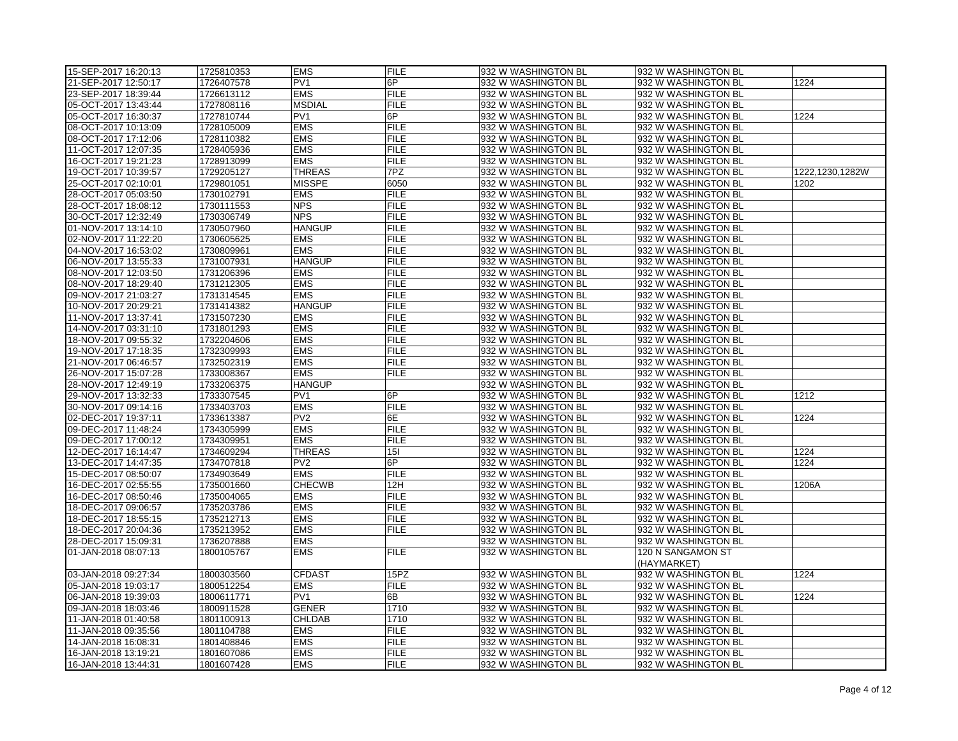| 15-SEP-2017 16:20:13 | 1725810353 | <b>EMS</b>      | <b>FILE</b> | 932 W WASHINGTON BL | 932 W WASHINGTON BL |                 |
|----------------------|------------|-----------------|-------------|---------------------|---------------------|-----------------|
| 21-SEP-2017 12:50:17 | 1726407578 | PV <sub>1</sub> | 6P          | 932 W WASHINGTON BL | 932 W WASHINGTON BL | 1224            |
| 23-SEP-2017 18:39:44 | 1726613112 | <b>EMS</b>      | <b>FILE</b> | 932 W WASHINGTON BL | 932 W WASHINGTON BL |                 |
| 05-OCT-2017 13:43:44 | 1727808116 | <b>MSDIAL</b>   | <b>FILE</b> | 932 W WASHINGTON BL | 932 W WASHINGTON BL |                 |
| 05-OCT-2017 16:30:37 | 1727810744 | PV <sub>1</sub> | 6P          | 932 W WASHINGTON BL | 932 W WASHINGTON BL | 1224            |
| 08-OCT-2017 10:13:09 | 1728105009 | <b>EMS</b>      | <b>FILE</b> | 932 W WASHINGTON BL | 932 W WASHINGTON BL |                 |
| 08-OCT-2017 17:12:06 | 1728110382 | <b>EMS</b>      | <b>FILE</b> | 932 W WASHINGTON BL | 932 W WASHINGTON BL |                 |
| 11-OCT-2017 12:07:35 | 1728405936 | <b>EMS</b>      | <b>FILE</b> | 932 W WASHINGTON BL | 932 W WASHINGTON BL |                 |
| 16-OCT-2017 19:21:23 | 1728913099 | <b>EMS</b>      | <b>FILE</b> | 932 W WASHINGTON BL | 932 W WASHINGTON BL |                 |
| 19-OCT-2017 10:39:57 | 1729205127 | <b>THREAS</b>   | 7PZ         | 932 W WASHINGTON BL | 932 W WASHINGTON BL | 1222,1230,1282W |
| 25-OCT-2017 02:10:01 | 1729801051 | <b>MISSPE</b>   | 6050        | 932 W WASHINGTON BL | 932 W WASHINGTON BL | 1202            |
| 28-OCT-2017 05:03:50 | 1730102791 | <b>EMS</b>      | <b>FILE</b> | 932 W WASHINGTON BL | 932 W WASHINGTON BL |                 |
| 28-OCT-2017 18:08:12 | 1730111553 | <b>NPS</b>      | <b>FILE</b> | 932 W WASHINGTON BL | 932 W WASHINGTON BL |                 |
| 30-OCT-2017 12:32:49 | 1730306749 | <b>NPS</b>      | <b>FILE</b> | 932 W WASHINGTON BL | 932 W WASHINGTON BL |                 |
| 01-NOV-2017 13:14:10 | 1730507960 | <b>HANGUP</b>   | <b>FILE</b> | 932 W WASHINGTON BL | 932 W WASHINGTON BL |                 |
| 02-NOV-2017 11:22:20 | 1730605625 | <b>EMS</b>      | <b>FILE</b> | 932 W WASHINGTON BL | 932 W WASHINGTON BL |                 |
| 04-NOV-2017 16:53:02 | 1730809961 | <b>EMS</b>      | <b>FILE</b> | 932 W WASHINGTON BL | 932 W WASHINGTON BL |                 |
| 06-NOV-2017 13:55:33 | 1731007931 | <b>HANGUP</b>   | <b>FILE</b> | 932 W WASHINGTON BL | 932 W WASHINGTON BL |                 |
| 08-NOV-2017 12:03:50 | 1731206396 | <b>EMS</b>      | <b>FILE</b> | 932 W WASHINGTON BL | 932 W WASHINGTON BL |                 |
| 08-NOV-2017 18:29:40 | 1731212305 | <b>EMS</b>      | <b>FILE</b> | 932 W WASHINGTON BL | 932 W WASHINGTON BL |                 |
| 09-NOV-2017 21:03:27 | 1731314545 | <b>EMS</b>      | <b>FILE</b> | 932 W WASHINGTON BL | 932 W WASHINGTON BL |                 |
| 10-NOV-2017 20:29:21 | 1731414382 | <b>HANGUP</b>   | <b>FILE</b> | 932 W WASHINGTON BL | 932 W WASHINGTON BL |                 |
| 11-NOV-2017 13:37:41 | 1731507230 | <b>EMS</b>      | <b>FILE</b> | 932 W WASHINGTON BL | 932 W WASHINGTON BL |                 |
| 14-NOV-2017 03:31:10 | 1731801293 | <b>EMS</b>      | <b>FILE</b> | 932 W WASHINGTON BL | 932 W WASHINGTON BL |                 |
| 18-NOV-2017 09:55:32 | 1732204606 | <b>EMS</b>      | <b>FILE</b> | 932 W WASHINGTON BL | 932 W WASHINGTON BL |                 |
| 19-NOV-2017 17:18:35 | 1732309993 | <b>EMS</b>      | <b>FILE</b> | 932 W WASHINGTON BL | 932 W WASHINGTON BL |                 |
| 21-NOV-2017 06:46:57 | 1732502319 | <b>EMS</b>      | <b>FILE</b> | 932 W WASHINGTON BL | 932 W WASHINGTON BL |                 |
| 26-NOV-2017 15:07:28 | 1733008367 | <b>EMS</b>      | <b>FILE</b> | 932 W WASHINGTON BL | 932 W WASHINGTON BL |                 |
| 28-NOV-2017 12:49:19 | 1733206375 | <b>HANGUP</b>   |             | 932 W WASHINGTON BL | 932 W WASHINGTON BL |                 |
| 29-NOV-2017 13:32:33 | 1733307545 | PV <sub>1</sub> | 6P          | 932 W WASHINGTON BL | 932 W WASHINGTON BL | 1212            |
| 30-NOV-2017 09:14:16 | 1733403703 | <b>EMS</b>      | <b>FILE</b> | 932 W WASHINGTON BL | 932 W WASHINGTON BL |                 |
| 02-DEC-2017 19:37:11 | 1733613387 | PV <sub>2</sub> | 6E          | 932 W WASHINGTON BL | 932 W WASHINGTON BL | 1224            |
| 09-DEC-2017 11:48:24 | 1734305999 | <b>EMS</b>      | <b>FILE</b> | 932 W WASHINGTON BL | 932 W WASHINGTON BL |                 |
| 09-DEC-2017 17:00:12 | 1734309951 | <b>EMS</b>      | <b>FILE</b> | 932 W WASHINGTON BL | 932 W WASHINGTON BL |                 |
| 12-DEC-2017 16:14:47 | 1734609294 | <b>THREAS</b>   | 15I         | 932 W WASHINGTON BL | 932 W WASHINGTON BL | 1224            |
| 13-DEC-2017 14:47:35 | 1734707818 | PV <sub>2</sub> | 6P          | 932 W WASHINGTON BL | 932 W WASHINGTON BL | 1224            |
| 15-DEC-2017 08:50:07 | 1734903649 | <b>EMS</b>      | <b>FILE</b> | 932 W WASHINGTON BL | 932 W WASHINGTON BL |                 |
| 16-DEC-2017 02:55:55 | 1735001660 | <b>CHECWB</b>   | 12H         | 932 W WASHINGTON BL | 932 W WASHINGTON BL | 1206A           |
| 16-DEC-2017 08:50:46 | 1735004065 | <b>EMS</b>      | <b>FILE</b> | 932 W WASHINGTON BL | 932 W WASHINGTON BL |                 |
| 18-DEC-2017 09:06:57 | 1735203786 | <b>EMS</b>      | <b>FILE</b> | 932 W WASHINGTON BL | 932 W WASHINGTON BL |                 |
| 18-DEC-2017 18:55:15 | 1735212713 | <b>EMS</b>      | <b>FILE</b> | 932 W WASHINGTON BL | 932 W WASHINGTON BL |                 |
| 18-DEC-2017 20:04:36 | 1735213952 | <b>EMS</b>      | <b>FILE</b> | 932 W WASHINGTON BL | 932 W WASHINGTON BL |                 |
| 28-DEC-2017 15:09:31 | 1736207888 | <b>EMS</b>      |             | 932 W WASHINGTON BL | 932 W WASHINGTON BL |                 |
| 01-JAN-2018 08:07:13 | 1800105767 | <b>EMS</b>      | <b>FILE</b> | 932 W WASHINGTON BL | 120 N SANGAMON ST   |                 |
|                      |            |                 |             |                     | (HAYMARKET)         |                 |
| 03-JAN-2018 09:27:34 | 1800303560 | <b>CFDAST</b>   | 15PZ        | 932 W WASHINGTON BL | 932 W WASHINGTON BL | 1224            |
| 05-JAN-2018 19:03:17 | 1800512254 | <b>EMS</b>      | <b>FILE</b> | 932 W WASHINGTON BL | 932 W WASHINGTON BL |                 |
| 06-JAN-2018 19:39:03 | 1800611771 | PV1             | 6B          | 932 W WASHINGTON BL | 932 W WASHINGTON BL | 1224            |
| 09-JAN-2018 18:03:46 | 1800911528 | <b>GENER</b>    | 1710        | 932 W WASHINGTON BL | 932 W WASHINGTON BL |                 |
| 11-JAN-2018 01:40:58 | 1801100913 | <b>CHLDAB</b>   | 1710        | 932 W WASHINGTON BL | 932 W WASHINGTON BL |                 |
| 11-JAN-2018 09:35:56 | 1801104788 | <b>EMS</b>      | <b>FILE</b> | 932 W WASHINGTON BL | 932 W WASHINGTON BL |                 |
| 14-JAN-2018 16:08:31 | 1801408846 | <b>EMS</b>      | <b>FILE</b> | 932 W WASHINGTON BL | 932 W WASHINGTON BL |                 |
| 16-JAN-2018 13:19:21 | 1801607086 | <b>EMS</b>      | <b>FILE</b> | 932 W WASHINGTON BL | 932 W WASHINGTON BL |                 |
| 16-JAN-2018 13:44:31 | 1801607428 | <b>EMS</b>      | <b>FILE</b> | 932 W WASHINGTON BL | 932 W WASHINGTON BL |                 |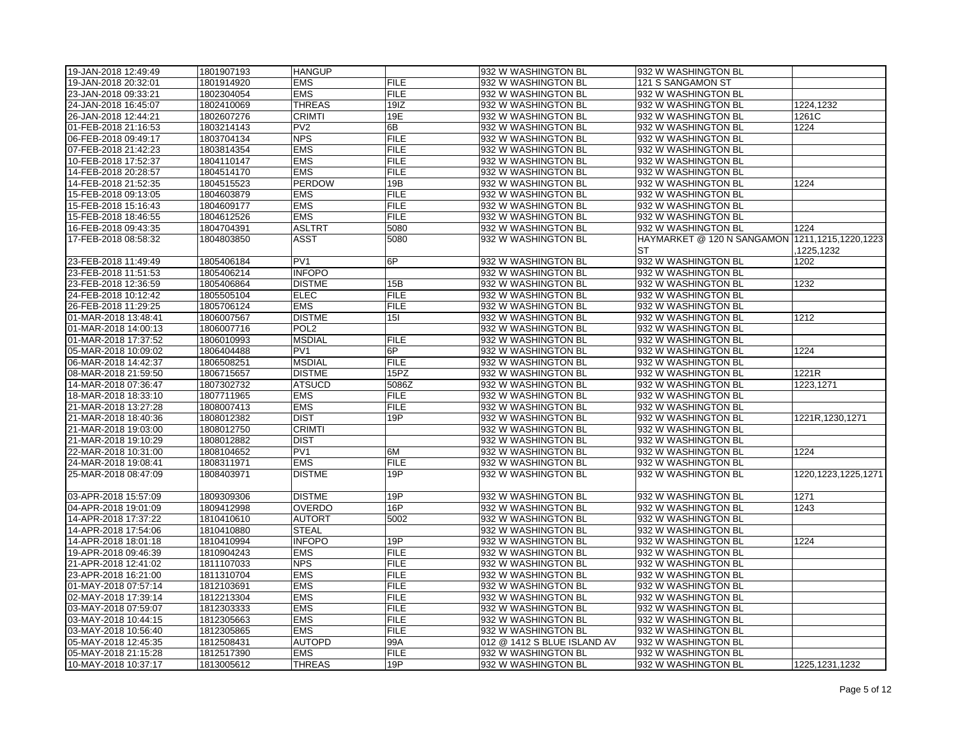| 19-JAN-2018 12:49:49 | 1801907193 | <b>HANGUP</b>                |             | 932 W WASHINGTON BL         | 932 W WASHINGTON BL                            |                        |
|----------------------|------------|------------------------------|-------------|-----------------------------|------------------------------------------------|------------------------|
| 19-JAN-2018 20:32:01 | 1801914920 | <b>EMS</b>                   | <b>FILE</b> | 932 W WASHINGTON BL         | 121 S SANGAMON ST                              |                        |
| 23-JAN-2018 09:33:21 | 1802304054 | <b>EMS</b>                   | <b>FILE</b> | 932 W WASHINGTON BL         | 932 W WASHINGTON BL                            |                        |
| 24-JAN-2018 16:45:07 | 1802410069 | <b>THREAS</b>                | 19IZ        | 932 W WASHINGTON BL         | 932 W WASHINGTON BL                            | 1224,1232              |
| 26-JAN-2018 12:44:21 | 1802607276 | <b>CRIMTI</b>                | 19E         | 932 W WASHINGTON BL         | 932 W WASHINGTON BL                            | 1261C                  |
| 01-FEB-2018 21:16:53 | 1803214143 | $\overline{\text{PV2}}$      | 6B          | 932 W WASHINGTON BL         | 932 W WASHINGTON BL                            | 1224                   |
| 06-FEB-2018 09:49:17 | 1803704134 | <b>NPS</b>                   | <b>FILE</b> | 932 W WASHINGTON BL         | 932 W WASHINGTON BL                            |                        |
| 07-FEB-2018 21:42:23 | 1803814354 | <b>EMS</b>                   | <b>FILE</b> | 932 W WASHINGTON BL         | 932 W WASHINGTON BL                            |                        |
| 10-FEB-2018 17:52:37 | 1804110147 | <b>EMS</b>                   | <b>FILE</b> | 932 W WASHINGTON BL         | 932 W WASHINGTON BL                            |                        |
| 14-FEB-2018 20:28:57 | 1804514170 | <b>EMS</b>                   | <b>FILE</b> | 932 W WASHINGTON BL         | 932 W WASHINGTON BL                            |                        |
| 14-FEB-2018 21:52:35 | 1804515523 | <b>PERDOW</b>                | 19B         | 932 W WASHINGTON BL         | 932 W WASHINGTON BL                            | 1224                   |
| 15-FEB-2018 09:13:05 | 1804603879 | <b>EMS</b>                   | <b>FILE</b> | 932 W WASHINGTON BL         | 932 W WASHINGTON BL                            |                        |
| 15-FEB-2018 15:16:43 | 1804609177 | <b>EMS</b>                   | <b>FILE</b> | 932 W WASHINGTON BL         | 932 W WASHINGTON BL                            |                        |
| 15-FEB-2018 18:46:55 | 1804612526 | <b>EMS</b>                   | <b>FILE</b> | 932 W WASHINGTON BL         | 932 W WASHINGTON BL                            |                        |
|                      |            |                              |             |                             |                                                |                        |
| 16-FEB-2018 09:43:35 | 1804704391 | <b>ASLTRT</b><br><b>ASST</b> | 5080        | 932 W WASHINGTON BL         | 932 W WASHINGTON BL                            | 1224                   |
| 17-FEB-2018 08:58:32 | 1804803850 |                              | 5080        | 932 W WASHINGTON BL         | HAYMARKET @ 120 N SANGAMON 1211,1215,1220,1223 |                        |
|                      |            |                              |             |                             | <b>ST</b>                                      | 1225,1232              |
| 23-FEB-2018 11:49:49 | 1805406184 | PV <sub>1</sub>              | 6P          | 932 W WASHINGTON BL         | 932 W WASHINGTON BL                            | 1202                   |
| 23-FEB-2018 11:51:53 | 1805406214 | <b>INFOPO</b>                |             | 932 W WASHINGTON BL         | 932 W WASHINGTON BL                            |                        |
| 23-FEB-2018 12:36:59 | 1805406864 | <b>DISTME</b>                | 15B         | 932 W WASHINGTON BL         | 932 W WASHINGTON BL                            | 1232                   |
| 24-FEB-2018 10:12:42 | 1805505104 | <b>ELEC</b>                  | <b>FILE</b> | 932 W WASHINGTON BL         | 932 W WASHINGTON BL                            |                        |
| 26-FEB-2018 11:29:25 | 1805706124 | <b>EMS</b>                   | <b>FILE</b> | 932 W WASHINGTON BL         | 932 W WASHINGTON BL                            |                        |
| 01-MAR-2018 13:48:41 | 1806007567 | <b>DISTME</b>                | 15I         | 932 W WASHINGTON BL         | 932 W WASHINGTON BL                            | 1212                   |
| 01-MAR-2018 14:00:13 | 1806007716 | POL <sub>2</sub>             |             | 932 W WASHINGTON BL         | 932 W WASHINGTON BL                            |                        |
| 01-MAR-2018 17:37:52 | 1806010993 | <b>MSDIAL</b>                | <b>FILE</b> | 932 W WASHINGTON BL         | 932 W WASHINGTON BL                            |                        |
| 05-MAR-2018 10:09:02 | 1806404488 | PV <sub>1</sub>              | 6P          | 932 W WASHINGTON BL         | 932 W WASHINGTON BL                            | 1224                   |
| 06-MAR-2018 14:42:37 | 1806508251 | <b>MSDIAL</b>                | <b>FILE</b> | 932 W WASHINGTON BL         | 932 W WASHINGTON BL                            |                        |
| 08-MAR-2018 21:59:50 | 1806715657 | <b>DISTME</b>                | 15PZ        | 932 W WASHINGTON BL         | 932 W WASHINGTON BL                            | 1221R                  |
| 14-MAR-2018 07:36:47 | 1807302732 | <b>ATSUCD</b>                | 5086Z       | 932 W WASHINGTON BL         | 932 W WASHINGTON BL                            | 1223,1271              |
| 18-MAR-2018 18:33:10 | 1807711965 | <b>EMS</b>                   | <b>FILE</b> | 932 W WASHINGTON BL         | 932 W WASHINGTON BL                            |                        |
| 21-MAR-2018 13:27:28 | 1808007413 | <b>EMS</b>                   | <b>FILE</b> | 932 W WASHINGTON BL         | 932 W WASHINGTON BL                            |                        |
| 21-MAR-2018 18:40:36 | 1808012382 | <b>DIST</b>                  | 19P         | 932 W WASHINGTON BL         | 932 W WASHINGTON BL                            | 1221R, 1230, 1271      |
| 21-MAR-2018 19:03:00 | 1808012750 | <b>CRIMTI</b>                |             | 932 W WASHINGTON BL         | 932 W WASHINGTON BL                            |                        |
| 21-MAR-2018 19:10:29 | 1808012882 | <b>DIST</b>                  |             | 932 W WASHINGTON BL         | 932 W WASHINGTON BL                            |                        |
| 22-MAR-2018 10:31:00 | 1808104652 | PV <sub>1</sub>              | 6M          | 932 W WASHINGTON BL         | 932 W WASHINGTON BL                            | 1224                   |
| 24-MAR-2018 19:08:41 | 1808311971 | <b>EMS</b>                   | <b>FILE</b> | 932 W WASHINGTON BL         | 932 W WASHINGTON BL                            |                        |
| 25-MAR-2018 08:47:09 | 1808403971 | <b>DISTME</b>                | 19P         | 932 W WASHINGTON BL         | 932 W WASHINGTON BL                            | 1220, 1223, 1225, 1271 |
|                      |            |                              |             |                             |                                                |                        |
| 03-APR-2018 15:57:09 | 1809309306 | <b>DISTME</b>                | 19P         | 932 W WASHINGTON BL         | 932 W WASHINGTON BL                            | 1271                   |
| 04-APR-2018 19:01:09 | 1809412998 | <b>OVERDO</b>                | 16P         | 932 W WASHINGTON BL         | 932 W WASHINGTON BL                            | 1243                   |
| 14-APR-2018 17:37:22 | 1810410610 | <b>AUTORT</b>                | 5002        | 932 W WASHINGTON BL         | 932 W WASHINGTON BL                            |                        |
| 14-APR-2018 17:54:06 | 1810410880 | <b>STEAL</b>                 |             | 932 W WASHINGTON BL         | 932 W WASHINGTON BL                            |                        |
| 14-APR-2018 18:01:18 | 1810410994 | <b>INFOPO</b>                | 19P         | 932 W WASHINGTON BL         | 932 W WASHINGTON BL                            | 1224                   |
| 19-APR-2018 09:46:39 | 1810904243 | <b>EMS</b>                   | <b>FILE</b> | 932 W WASHINGTON BL         | 932 W WASHINGTON BL                            |                        |
| 21-APR-2018 12:41:02 | 1811107033 | <b>NPS</b>                   | <b>FILE</b> | 932 W WASHINGTON BL         | 932 W WASHINGTON BL                            |                        |
| 23-APR-2018 16:21:00 | 1811310704 | <b>EMS</b>                   | <b>FILE</b> | 932 W WASHINGTON BL         | 932 W WASHINGTON BL                            |                        |
| 01-MAY-2018 07:57:14 | 1812103691 | <b>EMS</b>                   | <b>FILE</b> | 932 W WASHINGTON BL         | 932 W WASHINGTON BL                            |                        |
| 02-MAY-2018 17:39:14 | 1812213304 | <b>EMS</b>                   | <b>FILE</b> | 932 W WASHINGTON BL         | 932 W WASHINGTON BL                            |                        |
|                      |            | <b>EMS</b>                   | <b>FILE</b> |                             |                                                |                        |
| 03-MAY-2018 07:59:07 | 1812303333 |                              |             | 932 W WASHINGTON BL         | 932 W WASHINGTON BL                            |                        |
| 03-MAY-2018 10:44:15 | 1812305663 | <b>EMS</b>                   | <b>FILE</b> | 932 W WASHINGTON BL         | 932 W WASHINGTON BL                            |                        |
| 03-MAY-2018 10:56:40 | 1812305865 | <b>EMS</b>                   | <b>FILE</b> | 932 W WASHINGTON BL         | 932 W WASHINGTON BL                            |                        |
| 05-MAY-2018 12:45:35 | 1812508431 | <b>AUTOPD</b>                | 99A         | 012 @ 1412 S BLUE ISLAND AV | 932 W WASHINGTON BL                            |                        |
| 05-MAY-2018 21:15:28 | 1812517390 | <b>EMS</b>                   | <b>FILE</b> | 932 W WASHINGTON BL         | 932 W WASHINGTON BL                            |                        |
| 10-MAY-2018 10:37:17 | 1813005612 | <b>THREAS</b>                | 19P         | 932 W WASHINGTON BL         | 932 W WASHINGTON BL                            | 1225, 1231, 1232       |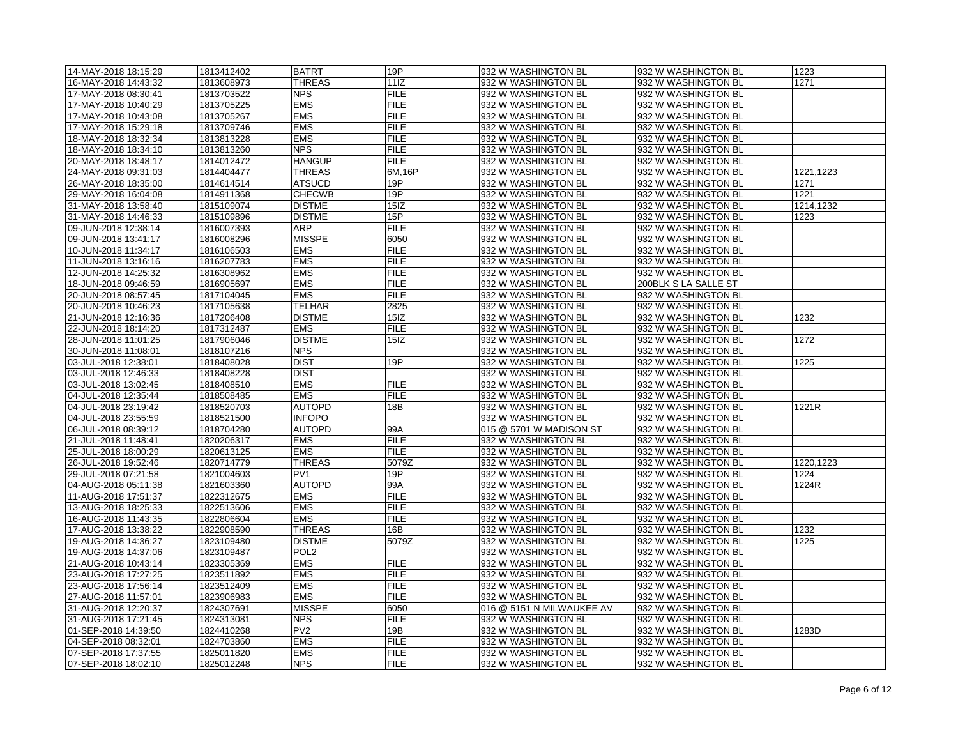| 14-MAY-2018 18:15:29 | 1813412402 | <b>BATRT</b>     | 19P         | 932 W WASHINGTON BL       | 932 W WASHINGTON BL  | 1223      |
|----------------------|------------|------------------|-------------|---------------------------|----------------------|-----------|
| 16-MAY-2018 14:43:32 | 1813608973 | <b>THREAS</b>    | 11IZ        | 932 W WASHINGTON BL       | 932 W WASHINGTON BL  | 1271      |
| 17-MAY-2018 08:30:41 | 1813703522 | <b>NPS</b>       | <b>FILE</b> | 932 W WASHINGTON BL       | 932 W WASHINGTON BL  |           |
| 17-MAY-2018 10:40:29 | 1813705225 | <b>EMS</b>       | <b>FILE</b> | 932 W WASHINGTON BL       | 932 W WASHINGTON BL  |           |
| 17-MAY-2018 10:43:08 | 1813705267 | <b>EMS</b>       | <b>FILE</b> | 932 W WASHINGTON BL       | 932 W WASHINGTON BL  |           |
| 17-MAY-2018 15:29:18 | 1813709746 | <b>EMS</b>       | <b>FILE</b> | 932 W WASHINGTON BL       | 932 W WASHINGTON BL  |           |
| 18-MAY-2018 18:32:34 | 1813813228 | <b>EMS</b>       | <b>FILE</b> | 932 W WASHINGTON BL       | 932 W WASHINGTON BL  |           |
| 18-MAY-2018 18:34:10 | 1813813260 | <b>NPS</b>       | <b>FILE</b> | 932 W WASHINGTON BL       | 932 W WASHINGTON BL  |           |
| 20-MAY-2018 18:48:17 | 1814012472 | <b>HANGUP</b>    | <b>FILE</b> | 932 W WASHINGTON BL       | 932 W WASHINGTON BL  |           |
| 24-MAY-2018 09:31:03 | 1814404477 | <b>THREAS</b>    | 6M,16P      | 932 W WASHINGTON BL       | 932 W WASHINGTON BL  | 1221,1223 |
| 26-MAY-2018 18:35:00 | 1814614514 | <b>ATSUCD</b>    | 19P         | 932 W WASHINGTON BL       | 932 W WASHINGTON BL  | 1271      |
| 29-MAY-2018 16:04:08 | 1814911368 | <b>CHECWB</b>    | 19P         | 932 W WASHINGTON BL       | 932 W WASHINGTON BL  | 1221      |
| 31-MAY-2018 13:58:40 | 1815109074 | <b>DISTME</b>    | 15IZ        | 932 W WASHINGTON BL       | 932 W WASHINGTON BL  | 1214,1232 |
| 31-MAY-2018 14:46:33 | 1815109896 | <b>DISTME</b>    | 15P         | 932 W WASHINGTON BL       | 932 W WASHINGTON BL  | 1223      |
| 09-JUN-2018 12:38:14 | 1816007393 | <b>ARP</b>       | <b>FILE</b> | 932 W WASHINGTON BL       | 932 W WASHINGTON BL  |           |
| 09-JUN-2018 13:41:17 | 1816008296 | <b>MISSPE</b>    | 6050        | 932 W WASHINGTON BL       | 932 W WASHINGTON BL  |           |
| 10-JUN-2018 11:34:17 | 1816106503 | <b>EMS</b>       | <b>FILE</b> | 932 W WASHINGTON BL       | 932 W WASHINGTON BL  |           |
| 11-JUN-2018 13:16:16 | 1816207783 | <b>EMS</b>       | <b>FILE</b> | 932 W WASHINGTON BL       | 932 W WASHINGTON BL  |           |
| 12-JUN-2018 14:25:32 | 1816308962 | <b>EMS</b>       | <b>FILE</b> | 932 W WASHINGTON BL       | 932 W WASHINGTON BL  |           |
| 18-JUN-2018 09:46:59 | 1816905697 | <b>EMS</b>       | <b>FILE</b> | 932 W WASHINGTON BL       | 200BLK S LA SALLE ST |           |
| 20-JUN-2018 08:57:45 | 1817104045 | <b>EMS</b>       | <b>FILE</b> | 932 W WASHINGTON BL       | 932 W WASHINGTON BL  |           |
| 20-JUN-2018 10:46:23 | 1817105638 | <b>TELHAR</b>    | 2825        | 932 W WASHINGTON BL       | 932 W WASHINGTON BL  |           |
| 21-JUN-2018 12:16:36 | 1817206408 | <b>DISTME</b>    | 15IZ        | 932 W WASHINGTON BL       | 932 W WASHINGTON BL  | 1232      |
| 22-JUN-2018 18:14:20 | 1817312487 | <b>EMS</b>       | <b>FILE</b> | 932 W WASHINGTON BL       | 932 W WASHINGTON BL  |           |
| 28-JUN-2018 11:01:25 | 1817906046 | <b>DISTME</b>    | 15IZ        | 932 W WASHINGTON BL       | 932 W WASHINGTON BL  | 1272      |
| 30-JUN-2018 11:08:01 | 1818107216 | <b>NPS</b>       |             | 932 W WASHINGTON BL       | 932 W WASHINGTON BL  |           |
| 03-JUL-2018 12:38:01 | 1818408028 | <b>DIST</b>      | 19P         | 932 W WASHINGTON BL       | 932 W WASHINGTON BL  | 1225      |
| 03-JUL-2018 12:46:33 | 1818408228 | <b>DIST</b>      |             | 932 W WASHINGTON BL       | 932 W WASHINGTON BL  |           |
| 03-JUL-2018 13:02:45 | 1818408510 | <b>EMS</b>       | <b>FILE</b> | 932 W WASHINGTON BL       | 932 W WASHINGTON BL  |           |
| 04-JUL-2018 12:35:44 | 1818508485 | <b>EMS</b>       | <b>FILE</b> | 932 W WASHINGTON BL       | 932 W WASHINGTON BL  |           |
| 04-JUL-2018 23:19:42 | 1818520703 | <b>AUTOPD</b>    | 18B         | 932 W WASHINGTON BL       | 932 W WASHINGTON BL  | 1221R     |
| 04-JUL-2018 23:55:59 | 1818521500 | <b>INFOPO</b>    |             | 932 W WASHINGTON BL       | 932 W WASHINGTON BL  |           |
| 06-JUL-2018 08:39:12 | 1818704280 | <b>AUTOPD</b>    | 99A         | 015 @ 5701 W MADISON ST   | 932 W WASHINGTON BL  |           |
| 21-JUL-2018 11:48:41 | 1820206317 | <b>EMS</b>       | <b>FILE</b> | 932 W WASHINGTON BL       | 932 W WASHINGTON BL  |           |
| 25-JUL-2018 18:00:29 | 1820613125 | <b>EMS</b>       | <b>FILE</b> | 932 W WASHINGTON BL       | 932 W WASHINGTON BL  |           |
| 26-JUL-2018 19:52:46 | 1820714779 | <b>THREAS</b>    | 5079Z       | 932 W WASHINGTON BL       | 932 W WASHINGTON BL  | 1220,1223 |
| 29-JUL-2018 07:21:58 | 1821004603 | PV <sub>1</sub>  | 19P         | 932 W WASHINGTON BL       | 932 W WASHINGTON BL  | 1224      |
| 04-AUG-2018 05:11:38 | 1821603360 | <b>AUTOPD</b>    | 99A         | 932 W WASHINGTON BL       | 932 W WASHINGTON BL  | 1224R     |
| 11-AUG-2018 17:51:37 | 1822312675 | <b>EMS</b>       | <b>FILE</b> | 932 W WASHINGTON BL       | 932 W WASHINGTON BL  |           |
| 13-AUG-2018 18:25:33 | 1822513606 | <b>EMS</b>       | <b>FILE</b> | 932 W WASHINGTON BL       | 932 W WASHINGTON BL  |           |
| 16-AUG-2018 11:43:35 | 1822806604 | <b>EMS</b>       | <b>FILE</b> | 932 W WASHINGTON BL       | 932 W WASHINGTON BL  |           |
| 17-AUG-2018 13:38:22 | 1822908590 | <b>THREAS</b>    | 16B         | 932 W WASHINGTON BL       | 932 W WASHINGTON BL  | 1232      |
| 19-AUG-2018 14:36:27 | 1823109480 | <b>DISTME</b>    | 5079Z       | 932 W WASHINGTON BL       | 932 W WASHINGTON BL  | 1225      |
| 19-AUG-2018 14:37:06 | 1823109487 | POL <sub>2</sub> |             | 932 W WASHINGTON BL       | 932 W WASHINGTON BL  |           |
| 21-AUG-2018 10:43:14 | 1823305369 | <b>EMS</b>       | <b>FILE</b> | 932 W WASHINGTON BL       | 932 W WASHINGTON BL  |           |
| 23-AUG-2018 17:27:25 | 1823511892 | <b>EMS</b>       | <b>FILE</b> | 932 W WASHINGTON BL       | 932 W WASHINGTON BL  |           |
| 23-AUG-2018 17:56:14 | 1823512409 | <b>EMS</b>       | <b>FILE</b> | 932 W WASHINGTON BL       | 932 W WASHINGTON BL  |           |
| 27-AUG-2018 11:57:01 | 1823906983 | <b>EMS</b>       | <b>FILE</b> | 932 W WASHINGTON BL       | 932 W WASHINGTON BL  |           |
| 31-AUG-2018 12:20:37 | 1824307691 | <b>MISSPE</b>    | 6050        | 016 @ 5151 N MILWAUKEE AV | 932 W WASHINGTON BL  |           |
| 31-AUG-2018 17:21:45 | 1824313081 | <b>NPS</b>       | <b>FILE</b> | 932 W WASHINGTON BL       | 932 W WASHINGTON BL  |           |
| 01-SEP-2018 14:39:50 | 1824410268 | PV <sub>2</sub>  | 19B         | 932 W WASHINGTON BL       | 932 W WASHINGTON BL  | 1283D     |
| 04-SEP-2018 08:32:01 | 1824703860 | <b>EMS</b>       | <b>FILE</b> | 932 W WASHINGTON BL       | 932 W WASHINGTON BL  |           |
| 07-SEP-2018 17:37:55 | 1825011820 | <b>EMS</b>       | <b>FILE</b> | 932 W WASHINGTON BL       | 932 W WASHINGTON BL  |           |
| 07-SEP-2018 18:02:10 | 1825012248 | <b>NPS</b>       | <b>FILE</b> | 932 W WASHINGTON BL       | 932 W WASHINGTON BL  |           |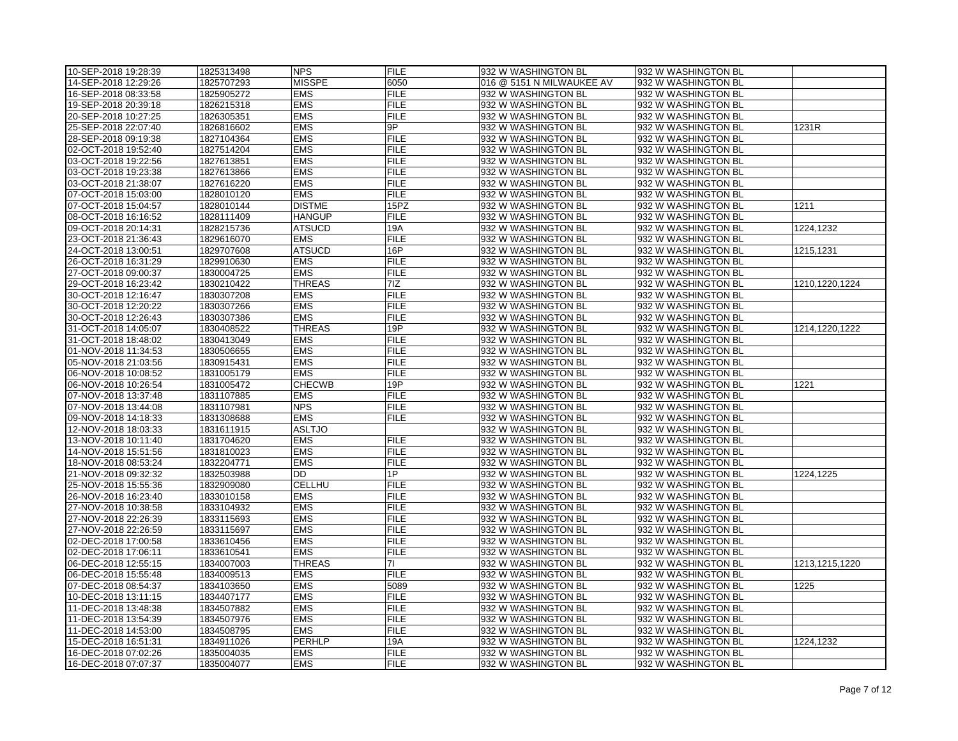| 10-SEP-2018 19:28:39 | 1825313498 | <b>NPS</b>    | <b>FILE</b> | 932 W WASHINGTON BL       | 932 W WASHINGTON BL |                |
|----------------------|------------|---------------|-------------|---------------------------|---------------------|----------------|
| 14-SEP-2018 12:29:26 | 1825707293 | <b>MISSPE</b> | 6050        | 016 @ 5151 N MILWAUKEE AV | 932 W WASHINGTON BL |                |
| 16-SEP-2018 08:33:58 | 1825905272 | <b>EMS</b>    | <b>FILE</b> | 932 W WASHINGTON BL       | 932 W WASHINGTON BL |                |
| 19-SEP-2018 20:39:18 | 1826215318 | <b>EMS</b>    | <b>FILE</b> | 932 W WASHINGTON BL       | 932 W WASHINGTON BL |                |
| 20-SEP-2018 10:27:25 | 1826305351 | <b>EMS</b>    | <b>FILE</b> | 932 W WASHINGTON BL       | 932 W WASHINGTON BL |                |
| 25-SEP-2018 22:07:40 | 1826816602 | <b>EMS</b>    | 9P          | 932 W WASHINGTON BL       | 932 W WASHINGTON BL | 1231R          |
| 28-SEP-2018 09:19:38 | 1827104364 | <b>EMS</b>    | <b>FILE</b> | 932 W WASHINGTON BL       | 932 W WASHINGTON BL |                |
| 02-OCT-2018 19:52:40 | 1827514204 | <b>EMS</b>    | <b>FILE</b> | 932 W WASHINGTON BL       | 932 W WASHINGTON BL |                |
| 03-OCT-2018 19:22:56 | 1827613851 | <b>EMS</b>    | <b>FILE</b> | 932 W WASHINGTON BL       | 932 W WASHINGTON BL |                |
| 03-OCT-2018 19:23:38 | 1827613866 | <b>EMS</b>    | <b>FILE</b> | 932 W WASHINGTON BL       | 932 W WASHINGTON BL |                |
| 03-OCT-2018 21:38:07 | 1827616220 | <b>EMS</b>    | <b>FILE</b> | 932 W WASHINGTON BL       | 932 W WASHINGTON BL |                |
| 07-OCT-2018 15:03:00 | 1828010120 | <b>EMS</b>    | <b>FILE</b> | 932 W WASHINGTON BL       | 932 W WASHINGTON BL |                |
| 07-OCT-2018 15:04:57 | 1828010144 | <b>DISTME</b> | 15PZ        | 932 W WASHINGTON BL       | 932 W WASHINGTON BL | 1211           |
| 08-OCT-2018 16:16:52 | 1828111409 | <b>HANGUP</b> | <b>FILE</b> | 932 W WASHINGTON BL       | 932 W WASHINGTON BL |                |
| 09-OCT-2018 20:14:31 | 1828215736 | <b>ATSUCD</b> | 19A         | 932 W WASHINGTON BL       | 932 W WASHINGTON BL | 1224.1232      |
| 23-OCT-2018 21:36:43 | 1829616070 | <b>EMS</b>    | <b>FILE</b> | 932 W WASHINGTON BL       | 932 W WASHINGTON BL |                |
| 24-OCT-2018 13:00:51 | 1829707608 | <b>ATSUCD</b> | 16P         | 932 W WASHINGTON BL       | 932 W WASHINGTON BL | 1215,1231      |
| 26-OCT-2018 16:31:29 | 1829910630 | <b>EMS</b>    | <b>FILE</b> | 932 W WASHINGTON BL       | 932 W WASHINGTON BL |                |
| 27-OCT-2018 09:00:37 | 1830004725 | <b>EMS</b>    | <b>FILE</b> | 932 W WASHINGTON BL       | 932 W WASHINGTON BL |                |
| 29-OCT-2018 16:23:42 | 1830210422 | <b>THREAS</b> | 7IZ         | 932 W WASHINGTON BL       | 932 W WASHINGTON BL | 1210,1220,1224 |
| 30-OCT-2018 12:16:47 | 1830307208 | <b>EMS</b>    | <b>FILE</b> | 932 W WASHINGTON BL       | 932 W WASHINGTON BL |                |
| 30-OCT-2018 12:20:22 | 1830307266 | <b>EMS</b>    | <b>FILE</b> | 932 W WASHINGTON BL       | 932 W WASHINGTON BL |                |
| 30-OCT-2018 12:26:43 | 1830307386 | <b>EMS</b>    | <b>FILE</b> | 932 W WASHINGTON BL       | 932 W WASHINGTON BL |                |
| 31-OCT-2018 14:05:07 | 1830408522 | <b>THREAS</b> | 19P         | 932 W WASHINGTON BL       | 932 W WASHINGTON BL | 1214,1220,1222 |
| 31-OCT-2018 18:48:02 | 1830413049 | <b>EMS</b>    | <b>FILE</b> | 932 W WASHINGTON BL       | 932 W WASHINGTON BL |                |
| 01-NOV-2018 11:34:53 | 1830506655 | <b>EMS</b>    | <b>FILE</b> | 932 W WASHINGTON BL       | 932 W WASHINGTON BL |                |
| 05-NOV-2018 21:03:56 | 1830915431 | <b>EMS</b>    | <b>FILE</b> | 932 W WASHINGTON BL       | 932 W WASHINGTON BL |                |
| 06-NOV-2018 10:08:52 | 1831005179 | <b>EMS</b>    | <b>FILE</b> | 932 W WASHINGTON BL       | 932 W WASHINGTON BL |                |
| 06-NOV-2018 10:26:54 | 1831005472 | <b>CHECWB</b> | 19P         | 932 W WASHINGTON BL       | 932 W WASHINGTON BL | 1221           |
| 07-NOV-2018 13:37:48 | 1831107885 | <b>EMS</b>    | <b>FILE</b> | 932 W WASHINGTON BL       | 932 W WASHINGTON BL |                |
| 07-NOV-2018 13:44:08 | 1831107981 | <b>NPS</b>    | <b>FILE</b> | 932 W WASHINGTON BL       | 932 W WASHINGTON BL |                |
| 09-NOV-2018 14:18:33 | 1831308688 | <b>EMS</b>    | <b>FILE</b> | 932 W WASHINGTON BL       | 932 W WASHINGTON BL |                |
| 12-NOV-2018 18:03:33 | 1831611915 | <b>ASLTJO</b> |             | 932 W WASHINGTON BL       | 932 W WASHINGTON BL |                |
| 13-NOV-2018 10:11:40 | 1831704620 | <b>EMS</b>    | <b>FILE</b> | 932 W WASHINGTON BL       | 932 W WASHINGTON BL |                |
| 14-NOV-2018 15:51:56 | 1831810023 | <b>EMS</b>    | <b>FILE</b> | 932 W WASHINGTON BL       | 932 W WASHINGTON BL |                |
| 18-NOV-2018 08:53:24 | 1832204771 | <b>EMS</b>    | <b>FILE</b> | 932 W WASHINGTON BL       | 932 W WASHINGTON BL |                |
| 21-NOV-2018 09:32:32 | 1832503988 | <b>DD</b>     | 1P          | 932 W WASHINGTON BL       | 932 W WASHINGTON BL | 1224,1225      |
| 25-NOV-2018 15:55:36 | 1832909080 | <b>CELLHU</b> | <b>FILE</b> | 932 W WASHINGTON BL       | 932 W WASHINGTON BL |                |
| 26-NOV-2018 16:23:40 | 1833010158 | <b>EMS</b>    | <b>FILE</b> | 932 W WASHINGTON BL       | 932 W WASHINGTON BL |                |
| 27-NOV-2018 10:38:58 | 1833104932 | <b>EMS</b>    | <b>FILE</b> | 932 W WASHINGTON BL       | 932 W WASHINGTON BL |                |
| 27-NOV-2018 22:26:39 | 1833115693 | <b>EMS</b>    | <b>FILE</b> | 932 W WASHINGTON BL       | 932 W WASHINGTON BL |                |
| 27-NOV-2018 22:26:59 | 1833115697 | <b>EMS</b>    | <b>FILE</b> | 932 W WASHINGTON BL       | 932 W WASHINGTON BL |                |
| 02-DEC-2018 17:00:58 | 1833610456 | <b>EMS</b>    | <b>FILE</b> | 932 W WASHINGTON BL       | 932 W WASHINGTON BL |                |
| 02-DEC-2018 17:06:11 | 1833610541 | <b>EMS</b>    | <b>FILE</b> | 932 W WASHINGTON BL       | 932 W WASHINGTON BL |                |
| 06-DEC-2018 12:55:15 | 1834007003 | <b>THREAS</b> | 71          | 932 W WASHINGTON BL       | 932 W WASHINGTON BL | 1213,1215,1220 |
| 06-DEC-2018 15:55:48 | 1834009513 | <b>EMS</b>    | <b>FILE</b> | 932 W WASHINGTON BL       | 932 W WASHINGTON BL |                |
| 07-DEC-2018 08:54:37 | 1834103650 | <b>EMS</b>    | 5089        | 932 W WASHINGTON BL       | 932 W WASHINGTON BL | 1225           |
| 10-DEC-2018 13:11:15 | 1834407177 | <b>EMS</b>    | <b>FILE</b> | 932 W WASHINGTON BL       | 932 W WASHINGTON BL |                |
| 11-DEC-2018 13:48:38 | 1834507882 | <b>EMS</b>    | <b>FILE</b> | 932 W WASHINGTON BL       | 932 W WASHINGTON BL |                |
| 11-DEC-2018 13:54:39 | 1834507976 | <b>EMS</b>    | <b>FILE</b> | 932 W WASHINGTON BL       | 932 W WASHINGTON BL |                |
| 11-DEC-2018 14:53:00 | 1834508795 | <b>EMS</b>    | <b>FILE</b> | 932 W WASHINGTON BL       | 932 W WASHINGTON BL |                |
| 15-DEC-2018 16:51:31 | 1834911026 | <b>PERHLP</b> | 19A         | 932 W WASHINGTON BL       | 932 W WASHINGTON BL | 1224,1232      |
| 16-DEC-2018 07:02:26 | 1835004035 | <b>EMS</b>    | <b>FILE</b> | 932 W WASHINGTON BL       | 932 W WASHINGTON BL |                |
| 16-DEC-2018 07:07:37 | 1835004077 | <b>EMS</b>    | <b>FILE</b> | 932 W WASHINGTON BL       | 932 W WASHINGTON BL |                |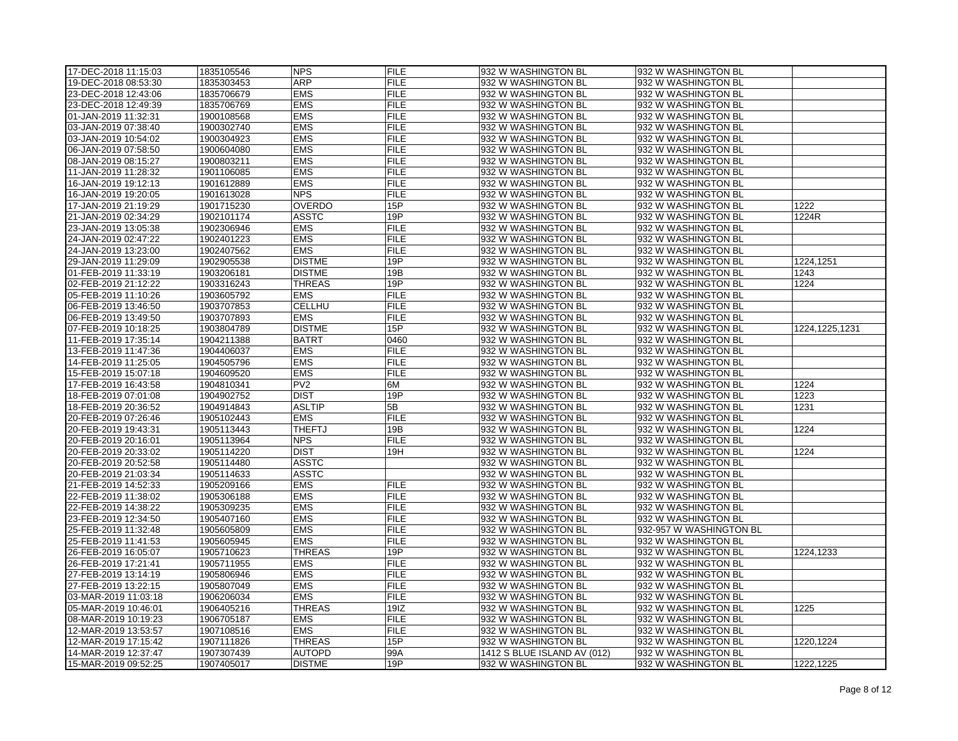| 17-DEC-2018 11:15:03 | 1835105546 | <b>NPS</b>      | <b>FILE</b> | 932 W WASHINGTON BL         | 932 W WASHINGTON BL     |                |
|----------------------|------------|-----------------|-------------|-----------------------------|-------------------------|----------------|
| 19-DEC-2018 08:53:30 | 1835303453 | <b>ARP</b>      | <b>FILE</b> | 932 W WASHINGTON BL         | 932 W WASHINGTON BL     |                |
| 23-DEC-2018 12:43:06 | 1835706679 | <b>EMS</b>      | <b>FILE</b> | 932 W WASHINGTON BL         | 932 W WASHINGTON BL     |                |
| 23-DEC-2018 12:49:39 | 1835706769 | <b>EMS</b>      | <b>FILE</b> | 932 W WASHINGTON BL         | 932 W WASHINGTON BL     |                |
| 01-JAN-2019 11:32:31 | 1900108568 | <b>EMS</b>      | <b>FILE</b> | 932 W WASHINGTON BL         | 932 W WASHINGTON BL     |                |
| 03-JAN-2019 07:38:40 | 1900302740 | <b>EMS</b>      | <b>FILE</b> | 932 W WASHINGTON BL         | 932 W WASHINGTON BL     |                |
| 03-JAN-2019 10:54:02 | 1900304923 | <b>EMS</b>      | <b>FILE</b> | 932 W WASHINGTON BL         | 932 W WASHINGTON BL     |                |
| 06-JAN-2019 07:58:50 | 1900604080 | <b>EMS</b>      | <b>FILE</b> | 932 W WASHINGTON BL         | 932 W WASHINGTON BL     |                |
| 08-JAN-2019 08:15:27 | 1900803211 | <b>EMS</b>      | <b>FILE</b> | 932 W WASHINGTON BL         | 932 W WASHINGTON BL     |                |
| 11-JAN-2019 11:28:32 | 1901106085 | <b>EMS</b>      | <b>FILE</b> | 932 W WASHINGTON BL         | 932 W WASHINGTON BL     |                |
| 16-JAN-2019 19:12:13 | 1901612889 | <b>EMS</b>      | <b>FILE</b> | 932 W WASHINGTON BL         | 932 W WASHINGTON BL     |                |
| 16-JAN-2019 19:20:05 | 1901613028 | <b>NPS</b>      | <b>FILE</b> | 932 W WASHINGTON BL         | 932 W WASHINGTON BL     |                |
| 17-JAN-2019 21:19:29 | 1901715230 | <b>OVERDO</b>   | 15P         | 932 W WASHINGTON BL         | 932 W WASHINGTON BL     | 1222           |
| 21-JAN-2019 02:34:29 | 1902101174 | <b>ASSTC</b>    | 19P         | 932 W WASHINGTON BL         | 932 W WASHINGTON BL     | 1224R          |
|                      |            | <b>EMS</b>      | <b>FILE</b> |                             |                         |                |
| 23-JAN-2019 13:05:38 | 1902306946 |                 |             | 932 W WASHINGTON BL         | 932 W WASHINGTON BL     |                |
| 24-JAN-2019 02:47:22 | 1902401223 | <b>EMS</b>      | <b>FILE</b> | 932 W WASHINGTON BL         | 932 W WASHINGTON BL     |                |
| 24-JAN-2019 13:23:00 | 1902407562 | <b>EMS</b>      | <b>FILE</b> | 932 W WASHINGTON BL         | 932 W WASHINGTON BL     |                |
| 29-JAN-2019 11:29:09 | 1902905538 | <b>DISTME</b>   | 19P         | 932 W WASHINGTON BL         | 932 W WASHINGTON BL     | 1224,1251      |
| 01-FEB-2019 11:33:19 | 1903206181 | <b>DISTME</b>   | 19B         | 932 W WASHINGTON BL         | 932 W WASHINGTON BL     | 1243           |
| 02-FEB-2019 21:12:22 | 1903316243 | <b>THREAS</b>   | 19P         | 932 W WASHINGTON BL         | 932 W WASHINGTON BL     | 1224           |
| 05-FEB-2019 11:10:26 | 1903605792 | <b>EMS</b>      | <b>FILE</b> | 932 W WASHINGTON BL         | 932 W WASHINGTON BL     |                |
| 06-FEB-2019 13:46:50 | 1903707853 | <b>CELLHU</b>   | <b>FILE</b> | 932 W WASHINGTON BL         | 932 W WASHINGTON BL     |                |
| 06-FEB-2019 13:49:50 | 1903707893 | <b>EMS</b>      | <b>FILE</b> | 932 W WASHINGTON BL         | 932 W WASHINGTON BL     |                |
| 07-FEB-2019 10:18:25 | 1903804789 | <b>DISTME</b>   | 15P         | 932 W WASHINGTON BL         | 932 W WASHINGTON BL     | 1224,1225,1231 |
| 11-FEB-2019 17:35:14 | 1904211388 | <b>BATRT</b>    | 0460        | 932 W WASHINGTON BL         | 932 W WASHINGTON BL     |                |
| 13-FEB-2019 11:47:36 | 1904406037 | <b>EMS</b>      | <b>FILE</b> | 932 W WASHINGTON BL         | 932 W WASHINGTON BL     |                |
| 14-FEB-2019 11:25:05 | 1904505796 | <b>EMS</b>      | <b>FILE</b> | 932 W WASHINGTON BL         | 932 W WASHINGTON BL     |                |
| 15-FEB-2019 15:07:18 | 1904609520 | <b>EMS</b>      | <b>FILE</b> | 932 W WASHINGTON BL         | 932 W WASHINGTON BL     |                |
| 17-FEB-2019 16:43:58 | 1904810341 | PV <sub>2</sub> | 6M          | 932 W WASHINGTON BL         | 932 W WASHINGTON BL     | 1224           |
| 18-FEB-2019 07:01:08 | 1904902752 | <b>DIST</b>     | 19P         | 932 W WASHINGTON BL         | 932 W WASHINGTON BL     | 1223           |
| 18-FEB-2019 20:36:52 | 1904914843 | <b>ASLTIP</b>   | 5B          | 932 W WASHINGTON BL         | 932 W WASHINGTON BL     | 1231           |
| 20-FEB-2019 07:26:46 | 1905102443 | <b>EMS</b>      | <b>FILE</b> | 932 W WASHINGTON BL         | 932 W WASHINGTON BL     |                |
| 20-FEB-2019 19:43:31 | 1905113443 | <b>THEFTJ</b>   | 19B         | 932 W WASHINGTON BL         | 932 W WASHINGTON BL     | 1224           |
| 20-FEB-2019 20:16:01 | 1905113964 | <b>NPS</b>      | <b>FILE</b> | 932 W WASHINGTON BL         | 932 W WASHINGTON BL     |                |
| 20-FEB-2019 20:33:02 | 1905114220 | <b>DIST</b>     | 19H         | 932 W WASHINGTON BL         | 932 W WASHINGTON BL     | 1224           |
| 20-FEB-2019 20:52:58 | 1905114480 | <b>ASSTC</b>    |             | 932 W WASHINGTON BL         | 932 W WASHINGTON BL     |                |
| 20-FEB-2019 21:03:34 | 1905114633 | <b>ASSTC</b>    |             | 932 W WASHINGTON BL         | 932 W WASHINGTON BL     |                |
| 21-FEB-2019 14:52:33 | 1905209166 | <b>EMS</b>      | <b>FILE</b> | 932 W WASHINGTON BL         | 932 W WASHINGTON BL     |                |
| 22-FEB-2019 11:38:02 | 1905306188 | <b>EMS</b>      | <b>FILE</b> | 932 W WASHINGTON BL         | 932 W WASHINGTON BL     |                |
| 22-FEB-2019 14:38:22 | 1905309235 | <b>EMS</b>      | <b>FILE</b> | 932 W WASHINGTON BL         | 932 W WASHINGTON BL     |                |
| 23-FEB-2019 12:34:50 | 1905407160 | <b>EMS</b>      | <b>FILE</b> | 932 W WASHINGTON BL         | 932 W WASHINGTON BL     |                |
| 25-FEB-2019 11:32:48 | 1905605809 | <b>EMS</b>      | <b>FILE</b> | 932 W WASHINGTON BL         | 932-957 W WASHINGTON BL |                |
| 25-FEB-2019 11:41:53 | 1905605945 | <b>EMS</b>      | <b>FILE</b> | 932 W WASHINGTON BL         | 932 W WASHINGTON BL     |                |
| 26-FEB-2019 16:05:07 | 1905710623 | <b>THREAS</b>   | 19P         | 932 W WASHINGTON BL         | 932 W WASHINGTON BL     | 1224,1233      |
| 26-FEB-2019 17:21:41 | 1905711955 | <b>EMS</b>      | <b>FILE</b> | 932 W WASHINGTON BL         | 932 W WASHINGTON BL     |                |
| 27-FEB-2019 13:14:19 | 1905806946 | <b>EMS</b>      | <b>FILE</b> | 932 W WASHINGTON BL         | 932 W WASHINGTON BL     |                |
| 27-FEB-2019 13:22:15 | 1905807049 | <b>EMS</b>      | <b>FILE</b> | 932 W WASHINGTON BL         | 932 W WASHINGTON BL     |                |
| 03-MAR-2019 11:03:18 | 1906206034 | <b>EMS</b>      | <b>FILE</b> | 932 W WASHINGTON BL         | 932 W WASHINGTON BL     |                |
| 05-MAR-2019 10:46:01 | 1906405216 | <b>THREAS</b>   | 19IZ        | 932 W WASHINGTON BL         | 932 W WASHINGTON BL     | 1225           |
| 08-MAR-2019 10:19:23 | 1906705187 | <b>EMS</b>      | <b>FILE</b> | 932 W WASHINGTON BL         | 932 W WASHINGTON BL     |                |
| 12-MAR-2019 13:53:57 | 1907108516 | <b>EMS</b>      | <b>FILE</b> | 932 W WASHINGTON BL         | 932 W WASHINGTON BL     |                |
| 12-MAR-2019 17:15:42 | 1907111826 | <b>THREAS</b>   | 15P         | 932 W WASHINGTON BL         | 932 W WASHINGTON BL     | 1220,1224      |
| 14-MAR-2019 12:37:47 | 1907307439 | <b>AUTOPD</b>   | 99A         | 1412 S BLUE ISLAND AV (012) | 932 W WASHINGTON BL     |                |
|                      |            | <b>DISTME</b>   | 19P         |                             |                         |                |
| 15-MAR-2019 09:52:25 | 1907405017 |                 |             | 932 W WASHINGTON BL         | 932 W WASHINGTON BL     | 1222,1225      |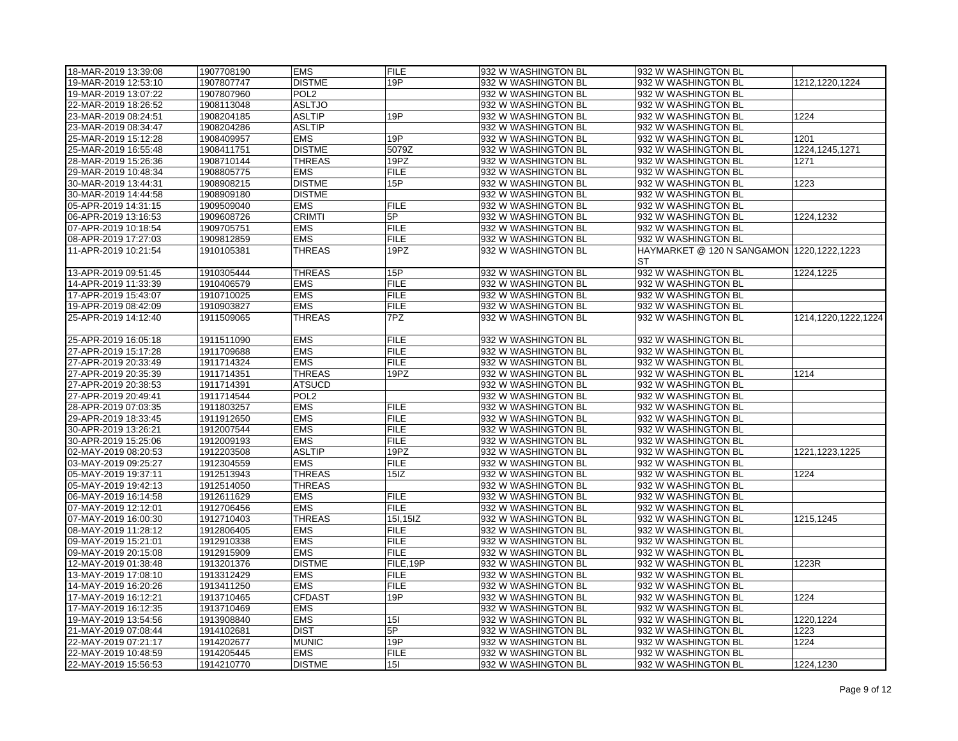| 18-MAR-2019 13:39:08 | 1907708190 | <b>EMS</b>       | <b>FILE</b>        | 932 W WASHINGTON BL | 932 W WASHINGTON BL                           |                     |
|----------------------|------------|------------------|--------------------|---------------------|-----------------------------------------------|---------------------|
| 19-MAR-2019 12:53:10 | 1907807747 | <b>DISTME</b>    | 19P                | 932 W WASHINGTON BL | 932 W WASHINGTON BL                           | 1212,1220,1224      |
| 19-MAR-2019 13:07:22 | 1907807960 | POL <sub>2</sub> |                    | 932 W WASHINGTON BL | 932 W WASHINGTON BL                           |                     |
| 22-MAR-2019 18:26:52 | 1908113048 | <b>ASLTJO</b>    |                    | 932 W WASHINGTON BL | 932 W WASHINGTON BL                           |                     |
| 23-MAR-2019 08:24:51 | 1908204185 | <b>ASLTIP</b>    | 19P                | 932 W WASHINGTON BL | 932 W WASHINGTON BL                           | 1224                |
| 23-MAR-2019 08:34:47 | 1908204286 | <b>ASLTIP</b>    |                    | 932 W WASHINGTON BL | 932 W WASHINGTON BL                           |                     |
|                      |            |                  |                    |                     |                                               |                     |
| 25-MAR-2019 15:12:28 | 1908409957 | <b>EMS</b>       | 19P                | 932 W WASHINGTON BL | 932 W WASHINGTON BL                           | 1201                |
| 25-MAR-2019 16:55:48 | 1908411751 | <b>DISTME</b>    | 5079Z              | 932 W WASHINGTON BL | 932 W WASHINGTON BL                           | 1224, 1245, 1271    |
| 28-MAR-2019 15:26:36 | 1908710144 | <b>THREAS</b>    | 19PZ               | 932 W WASHINGTON BL | 932 W WASHINGTON BL                           | 1271                |
| 29-MAR-2019 10:48:34 | 1908805775 | <b>EMS</b>       | <b>FILE</b>        | 932 W WASHINGTON BL | 932 W WASHINGTON BL                           |                     |
| 30-MAR-2019 13:44:31 | 1908908215 | <b>DISTME</b>    | 15P                | 932 W WASHINGTON BL | 932 W WASHINGTON BL                           | 1223                |
| 30-MAR-2019 14:44:58 | 1908909180 | <b>DISTME</b>    |                    | 932 W WASHINGTON BL | 932 W WASHINGTON BL                           |                     |
| 05-APR-2019 14:31:15 | 1909509040 | <b>EMS</b>       | FILE               | 932 W WASHINGTON BL | 932 W WASHINGTON BL                           |                     |
| 06-APR-2019 13:16:53 | 1909608726 | <b>CRIMTI</b>    | 5P                 | 932 W WASHINGTON BL | 932 W WASHINGTON BL                           | 1224,1232           |
| 07-APR-2019 10:18:54 | 1909705751 | <b>EMS</b>       | <b>FILE</b>        | 932 W WASHINGTON BL | 932 W WASHINGTON BL                           |                     |
| 08-APR-2019 17:27:03 | 1909812859 | <b>EMS</b>       | <b>FILE</b>        | 932 W WASHINGTON BL | 932 W WASHINGTON BL                           |                     |
| 11-APR-2019 10:21:54 | 1910105381 | <b>THREAS</b>    | 19PZ               | 932 W WASHINGTON BL | HAYMARKET @ 120 N SANGAMON   1220, 1222, 1223 |                     |
|                      |            |                  |                    |                     | <b>ST</b>                                     |                     |
| 13-APR-2019 09:51:45 | 1910305444 | <b>THREAS</b>    | 15P                | 932 W WASHINGTON BL | 932 W WASHINGTON BL                           | 1224,1225           |
| 14-APR-2019 11:33:39 | 1910406579 | <b>EMS</b>       | <b>FILE</b>        | 932 W WASHINGTON BL | 932 W WASHINGTON BL                           |                     |
| 17-APR-2019 15:43:07 | 1910710025 | <b>EMS</b>       | <b>FILE</b>        | 932 W WASHINGTON BL | 932 W WASHINGTON BL                           |                     |
| 19-APR-2019 08:42:09 | 1910903827 | <b>EMS</b>       | <b>FILE</b>        | 932 W WASHINGTON BL | 932 W WASHINGTON BL                           |                     |
| 25-APR-2019 14:12:40 | 1911509065 | <b>THREAS</b>    | 7PZ                | 932 W WASHINGTON BL | 932 W WASHINGTON BL                           | 1214,1220,1222,1224 |
|                      |            |                  |                    |                     |                                               |                     |
| 25-APR-2019 16:05:18 | 1911511090 | <b>EMS</b>       | <b>FILE</b>        | 932 W WASHINGTON BL | 932 W WASHINGTON BL                           |                     |
| 27-APR-2019 15:17:28 | 1911709688 | <b>EMS</b>       | <b>FILE</b>        | 932 W WASHINGTON BL | 932 W WASHINGTON BL                           |                     |
| 27-APR-2019 20:33:49 | 1911714324 | <b>EMS</b>       | <b>FILE</b>        | 932 W WASHINGTON BL | 932 W WASHINGTON BL                           |                     |
| 27-APR-2019 20:35:39 | 1911714351 | <b>THREAS</b>    | 19PZ               | 932 W WASHINGTON BL | 932 W WASHINGTON BL                           | 1214                |
| 27-APR-2019 20:38:53 | 1911714391 | <b>ATSUCD</b>    |                    | 932 W WASHINGTON BL | 932 W WASHINGTON BL                           |                     |
| 27-APR-2019 20:49:41 | 1911714544 | POL <sub>2</sub> |                    | 932 W WASHINGTON BL | 932 W WASHINGTON BL                           |                     |
| 28-APR-2019 07:03:35 | 1911803257 | <b>EMS</b>       | <b>FILE</b>        | 932 W WASHINGTON BL | 932 W WASHINGTON BL                           |                     |
| 29-APR-2019 18:33:45 | 1911912650 | <b>EMS</b>       | <b>FILE</b>        | 932 W WASHINGTON BL | 932 W WASHINGTON BL                           |                     |
| 30-APR-2019 13:26:21 | 1912007544 | <b>EMS</b>       | <b>FILE</b>        | 932 W WASHINGTON BL | 932 W WASHINGTON BL                           |                     |
| 30-APR-2019 15:25:06 | 1912009193 | <b>EMS</b>       | FILE               | 932 W WASHINGTON BL | 932 W WASHINGTON BL                           |                     |
| 02-MAY-2019 08:20:53 | 1912203508 | <b>ASLTIP</b>    | 19PZ               | 932 W WASHINGTON BL | 932 W WASHINGTON BL                           | 1221, 1223, 1225    |
| 03-MAY-2019 09:25:27 | 1912304559 | <b>EMS</b>       | <b>FILE</b>        | 932 W WASHINGTON BL | 932 W WASHINGTON BL                           |                     |
| 05-MAY-2019 19:37:11 | 1912513943 | <b>THREAS</b>    | 15IZ               | 932 W WASHINGTON BL | 932 W WASHINGTON BL                           | 1224                |
| 05-MAY-2019 19:42:13 | 1912514050 | <b>THREAS</b>    |                    | 932 W WASHINGTON BL | 932 W WASHINGTON BL                           |                     |
| 06-MAY-2019 16:14:58 | 1912611629 | <b>EMS</b>       | <b>FILE</b>        | 932 W WASHINGTON BL | 932 W WASHINGTON BL                           |                     |
| 07-MAY-2019 12:12:01 | 1912706456 | <b>EMS</b>       | <b>FILE</b>        | 932 W WASHINGTON BL | 932 W WASHINGTON BL                           |                     |
| 07-MAY-2019 16:00:30 | 1912710403 | <b>THREAS</b>    | 15I, 15IZ          | 932 W WASHINGTON BL | 932 W WASHINGTON BL                           | 1215,1245           |
| 08-MAY-2019 11:28:12 | 1912806405 | <b>EMS</b>       | <b>FILE</b>        | 932 W WASHINGTON BL | 932 W WASHINGTON BL                           |                     |
| 09-MAY-2019 15:21:01 | 1912910338 | <b>EMS</b>       | <b>FILE</b>        | 932 W WASHINGTON BL | 932 W WASHINGTON BL                           |                     |
| 09-MAY-2019 20:15:08 | 1912915909 | <b>EMS</b>       | <b>FILE</b>        | 932 W WASHINGTON BL | 932 W WASHINGTON BL                           |                     |
| 12-MAY-2019 01:38:48 | 1913201376 | <b>DISTME</b>    | FILE, 19P          | 932 W WASHINGTON BL | 932 W WASHINGTON BL                           | 1223R               |
| 13-MAY-2019 17:08:10 | 1913312429 | <b>EMS</b>       | <b>FILE</b>        | 932 W WASHINGTON BL | 932 W WASHINGTON BL                           |                     |
|                      |            |                  |                    |                     |                                               |                     |
| 14-MAY-2019 16:20:26 | 1913411250 | <b>EMS</b>       | <b>FILE</b><br>19P | 932 W WASHINGTON BL | 932 W WASHINGTON BL                           |                     |
| 17-MAY-2019 16:12:21 | 1913710465 | <b>CFDAST</b>    |                    | 932 W WASHINGTON BL | 932 W WASHINGTON BL                           | 1224                |
| 17-MAY-2019 16:12:35 | 1913710469 | <b>EMS</b>       |                    | 932 W WASHINGTON BL | 932 W WASHINGTON BL                           |                     |
| 19-MAY-2019 13:54:56 | 1913908840 | <b>EMS</b>       | 15I                | 932 W WASHINGTON BL | 932 W WASHINGTON BL                           | 1220,1224           |
| 21-MAY-2019 07:08:44 | 1914102681 | <b>DIST</b>      | 5P                 | 932 W WASHINGTON BL | 932 W WASHINGTON BL                           | 1223                |
| 22-MAY-2019 07:21:17 | 1914202677 | <b>MUNIC</b>     | 19P                | 932 W WASHINGTON BL | 932 W WASHINGTON BL                           | 1224                |
| 22-MAY-2019 10:48:59 | 1914205445 | <b>EMS</b>       | <b>FILE</b>        | 932 W WASHINGTON BL | 932 W WASHINGTON BL                           |                     |
| 22-MAY-2019 15:56:53 | 1914210770 | <b>DISTME</b>    | 151                | 932 W WASHINGTON BL | 932 W WASHINGTON BL                           | 1224,1230           |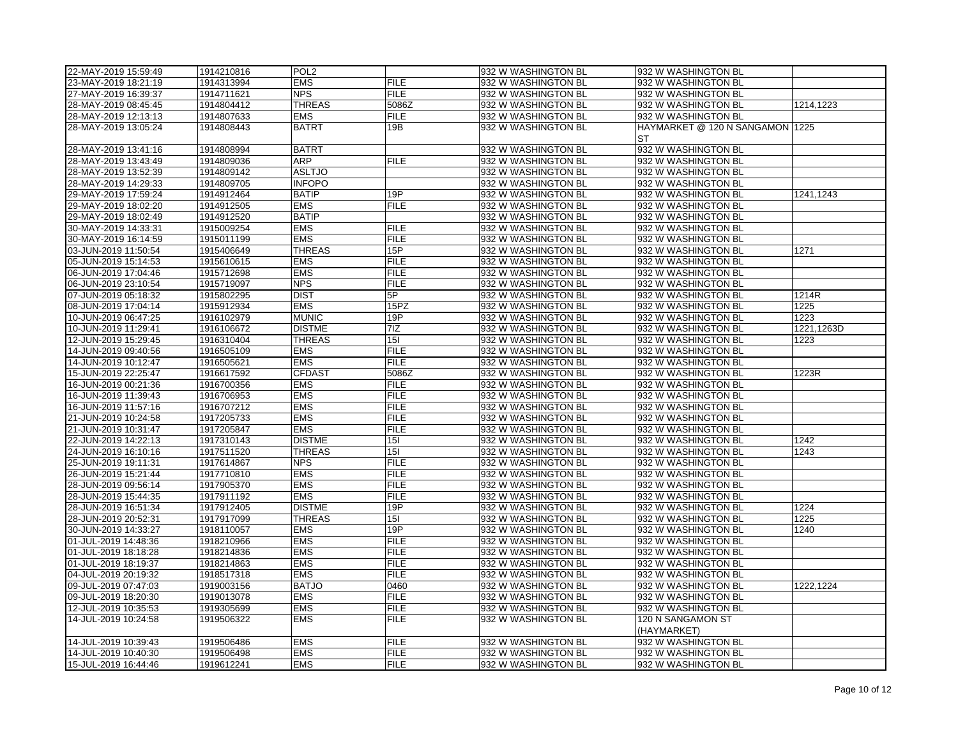| 22-MAY-2019 15:59:49                         | 1914210816               | POL <sub>2</sub>         |                | 932 W WASHINGTON BL                        | 932 W WASHINGTON BL                        |            |
|----------------------------------------------|--------------------------|--------------------------|----------------|--------------------------------------------|--------------------------------------------|------------|
| 23-MAY-2019 18:21:19                         | 1914313994               | <b>EMS</b>               | <b>FILE</b>    | 932 W WASHINGTON BL                        | 932 W WASHINGTON BL                        |            |
| 27-MAY-2019 16:39:37                         | 1914711621               | <b>NPS</b>               | <b>FILE</b>    | 932 W WASHINGTON BL                        | 932 W WASHINGTON BL                        |            |
| 28-MAY-2019 08:45:45                         | 1914804412               | <b>THREAS</b>            | 5086Z          | 932 W WASHINGTON BL                        | 932 W WASHINGTON BL                        | 1214,1223  |
| 28-MAY-2019 12:13:13                         | 1914807633               | <b>EMS</b>               | <b>FILE</b>    | 932 W WASHINGTON BL                        | 932 W WASHINGTON BL                        |            |
| 28-MAY-2019 13:05:24                         | 1914808443               | <b>BATRT</b>             | 19B            | 932 W WASHINGTON BL                        | HAYMARKET @ 120 N SANGAMON 1225            |            |
|                                              |                          |                          |                |                                            | <b>ST</b>                                  |            |
| 28-MAY-2019 13:41:16                         | 1914808994               | <b>BATRT</b>             |                | 932 W WASHINGTON BL                        | 932 W WASHINGTON BL                        |            |
| 28-MAY-2019 13:43:49                         | 1914809036               | ARP                      | <b>FILE</b>    | 932 W WASHINGTON BL                        | 932 W WASHINGTON BL                        |            |
| 28-MAY-2019 13:52:39                         | 1914809142               | <b>ASLTJO</b>            |                | 932 W WASHINGTON BL                        | 932 W WASHINGTON BL                        |            |
| 28-MAY-2019 14:29:33                         | 1914809705               | <b>INFOPO</b>            |                | 932 W WASHINGTON BL                        | 932 W WASHINGTON BL                        |            |
| 29-MAY-2019 17:59:24                         | 1914912464               | <b>BATIP</b>             | 19P            | 932 W WASHINGTON BL                        | 932 W WASHINGTON BL                        | 1241,1243  |
| 29-MAY-2019 18:02:20                         | 1914912505               | <b>EMS</b>               | <b>FILE</b>    | 932 W WASHINGTON BL                        | 932 W WASHINGTON BL                        |            |
| 29-MAY-2019 18:02:49                         | 1914912520               | <b>BATIP</b>             |                | 932 W WASHINGTON BL                        | 932 W WASHINGTON BL                        |            |
| 30-MAY-2019 14:33:31                         | 1915009254               | <b>EMS</b>               | <b>FILE</b>    | 932 W WASHINGTON BL                        | 932 W WASHINGTON BL                        |            |
| 30-MAY-2019 16:14:59                         | 1915011199               | <b>EMS</b>               | <b>FILE</b>    | 932 W WASHINGTON BL                        | 932 W WASHINGTON BL                        |            |
| 03-JUN-2019 11:50:54                         | 1915406649               | <b>THREAS</b>            | 15P            | 932 W WASHINGTON BL                        | 932 W WASHINGTON BL                        | 1271       |
| 05-JUN-2019 15:14:53                         | 1915610615               | <b>EMS</b>               | <b>FILE</b>    | 932 W WASHINGTON BL                        | 932 W WASHINGTON BL                        |            |
| 06-JUN-2019 17:04:46                         | 1915712698               | <b>EMS</b>               | <b>FILE</b>    | 932 W WASHINGTON BL                        | 932 W WASHINGTON BL                        |            |
| 06-JUN-2019 23:10:54                         | 1915719097               | <b>NPS</b>               | <b>FILE</b>    | 932 W WASHINGTON BL                        | 932 W WASHINGTON BL                        |            |
|                                              |                          | <b>DIST</b>              | 5P             |                                            |                                            |            |
| 07-JUN-2019 05:18:32                         | 1915802295               |                          |                | 932 W WASHINGTON BL                        | 932 W WASHINGTON BL                        | 1214R      |
| 08-JUN-2019 17:04:14                         | 1915912934               | <b>EMS</b>               | 15PZ           | 932 W WASHINGTON BL                        | 932 W WASHINGTON BL                        | 1225       |
| 10-JUN-2019 06:47:25                         | 1916102979               | <b>MUNIC</b>             | 19P            | 932 W WASHINGTON BL                        | 932 W WASHINGTON BL                        | 1223       |
| 10-JUN-2019 11:29:41                         | 1916106672               | <b>DISTME</b>            | 7 <sub>z</sub> | 932 W WASHINGTON BL                        | 932 W WASHINGTON BL                        | 1221,1263D |
| 12-JUN-2019 15:29:45                         | 1916310404               | <b>THREAS</b>            | 15I            | 932 W WASHINGTON BL                        | 932 W WASHINGTON BL                        | 1223       |
| 14-JUN-2019 09:40:56                         | 1916505109               | <b>EMS</b>               | <b>FILE</b>    | 932 W WASHINGTON BL                        | 932 W WASHINGTON BL                        |            |
| 14-JUN-2019 10:12:47                         | 1916505621               | <b>EMS</b>               | <b>FILE</b>    | 932 W WASHINGTON BL                        | 932 W WASHINGTON BL                        |            |
| 15-JUN-2019 22:25:47                         | 1916617592               | <b>CFDAST</b>            | 5086Z          | 932 W WASHINGTON BL                        | 932 W WASHINGTON BL                        | 1223R      |
| 16-JUN-2019 00:21:36                         | 1916700356               | <b>EMS</b>               | <b>FILE</b>    | 932 W WASHINGTON BL                        | 932 W WASHINGTON BL                        |            |
|                                              |                          |                          |                |                                            |                                            |            |
| 16-JUN-2019 11:39:43                         | 1916706953               | <b>EMS</b>               | <b>FILE</b>    | 932 W WASHINGTON BL                        | 932 W WASHINGTON BL                        |            |
| 16-JUN-2019 11:57:16                         | 1916707212               | <b>EMS</b>               | <b>FILE</b>    | 932 W WASHINGTON BL                        | 932 W WASHINGTON BL                        |            |
| 21-JUN-2019 10:24:58                         | 1917205733               | <b>EMS</b>               | <b>FILE</b>    | 932 W WASHINGTON BL                        | 932 W WASHINGTON BL                        |            |
| 21-JUN-2019 10:31:47                         | 1917205847               | <b>EMS</b>               | <b>FILE</b>    | 932 W WASHINGTON BL                        | 932 W WASHINGTON BL                        |            |
| 22-JUN-2019 14:22:13                         | 1917310143               | <b>DISTME</b>            | 15I            | 932 W WASHINGTON BL                        | 932 W WASHINGTON BL                        | 1242       |
| 24-JUN-2019 16:10:16                         | 1917511520               | <b>THREAS</b>            | 15I            | 932 W WASHINGTON BL                        | 932 W WASHINGTON BL                        | 1243       |
| 25-JUN-2019 19:11:31                         | 1917614867               | <b>NPS</b>               | <b>FILE</b>    | 932 W WASHINGTON BL                        | 932 W WASHINGTON BL                        |            |
| 26-JUN-2019 15:21:44                         | 1917710810               | <b>EMS</b>               | <b>FILE</b>    | 932 W WASHINGTON BL                        | 932 W WASHINGTON BL                        |            |
| 28-JUN-2019 09:56:14                         | 1917905370               | <b>EMS</b>               | <b>FILE</b>    | 932 W WASHINGTON BL                        | 932 W WASHINGTON BL                        |            |
| 28-JUN-2019 15:44:35                         | 1917911192               | <b>EMS</b>               | <b>FILE</b>    | 932 W WASHINGTON BL                        | 932 W WASHINGTON BL                        |            |
| 28-JUN-2019 16:51:34                         | 1917912405               | <b>DISTME</b>            | 19P            | 932 W WASHINGTON BL                        | 932 W WASHINGTON BL                        | 1224       |
| 28-JUN-2019 20:52:31                         | 1917917099               | <b>THREAS</b>            | 15I            | 932 W WASHINGTON BL                        | 932 W WASHINGTON BL                        | 1225       |
| 30-JUN-2019 14:33:27                         | 1918110057               | <b>EMS</b>               | 19P            | 932 W WASHINGTON BL                        | 932 W WASHINGTON BL                        | 1240       |
| 01-JUL-2019 14:48:36                         | 1918210966               | <b>EMS</b>               | <b>FILE</b>    | 932 W WASHINGTON BL                        | 932 W WASHINGTON BL                        |            |
| 01-JUL-2019 18:18:28                         | 1918214836               | <b>EMS</b>               | <b>FILE</b>    | 932 W WASHINGTON BL                        | 932 W WASHINGTON BL                        |            |
| 01-JUL-2019 18:19:37                         | 1918214863               | <b>EMS</b>               | <b>FILE</b>    | 932 W WASHINGTON BL                        | 932 W WASHINGTON BL                        |            |
| 04-JUL-2019 20:19:32                         | 1918517318               | <b>EMS</b>               | <b>FILE</b>    | 932 W WASHINGTON BL                        | 932 W WASHINGTON BL                        |            |
| 09-JUL-2019 07:47:03                         | 1919003156               | <b>BATJO</b>             | 0460           | 932 W WASHINGTON BL                        | 932 W WASHINGTON BL                        | 1222,1224  |
| 09-JUL-2019 18:20:30                         | 1919013078               | <b>EMS</b>               | <b>FILE</b>    | 932 W WASHINGTON BL                        | 932 W WASHINGTON BL                        |            |
| 12-JUL-2019 10:35:53                         | 1919305699               | <b>EMS</b>               | <b>FILE</b>    | 932 W WASHINGTON BL                        | 932 W WASHINGTON BL                        |            |
|                                              |                          | <b>EMS</b>               | <b>FILE</b>    |                                            |                                            |            |
| 14-JUL-2019 10:24:58                         | 1919506322               |                          |                | 932 W WASHINGTON BL                        | 120 N SANGAMON ST                          |            |
|                                              |                          |                          | <b>FILE</b>    |                                            | (HAYMARKET)                                |            |
| 14-JUL-2019 10:39:43<br>14-JUL-2019 10:40:30 | 1919506486<br>1919506498 | <b>EMS</b><br><b>EMS</b> | <b>FILE</b>    | 932 W WASHINGTON BL<br>932 W WASHINGTON BL | 932 W WASHINGTON BL<br>932 W WASHINGTON BL |            |
| 15-JUL-2019 16:44:46                         | 1919612241               | <b>EMS</b>               | <b>FILE</b>    | 932 W WASHINGTON BL                        | 932 W WASHINGTON BL                        |            |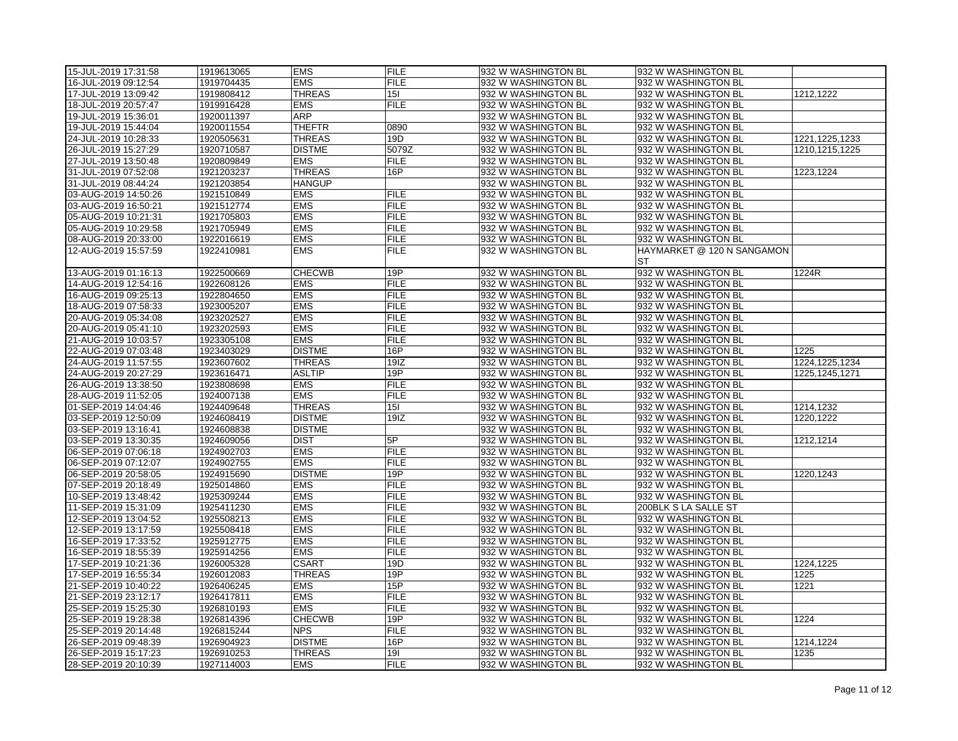| <b>EMS</b><br>1919704435<br><b>FILE</b><br>16-JUL-2019 09:12:54<br>932 W WASHINGTON BL<br>932 W WASHINGTON BL<br><b>THREAS</b><br>17-JUL-2019 13:09:42<br>1919808412<br>15 <sub>l</sub><br>932 W WASHINGTON BL<br>932 W WASHINGTON BL<br>1212,1222<br>1919916428<br><b>EMS</b><br><b>FILE</b><br>932 W WASHINGTON BL<br>932 W WASHINGTON BL<br>18-JUL-2019 20:57:47<br><b>ARP</b><br>19-JUL-2019 15:36:01<br>1920011397<br>932 W WASHINGTON BL<br>932 W WASHINGTON BL<br><b>THEFTR</b><br>1920011554<br>0890<br>19-JUL-2019 15:44:04<br>932 W WASHINGTON BL<br>932 W WASHINGTON BL<br><b>THREAS</b><br>19D<br>932 W WASHINGTON BL<br>932 W WASHINGTON BL<br>1221, 1225, 1233<br>24-JUL-2019 10:28:33<br>1920505631<br>1920710587<br><b>DISTME</b><br>5079Z<br>932 W WASHINGTON BL<br>1210, 1215, 1225<br>26-JUL-2019 15:27:29<br>932 W WASHINGTON BL<br>1920809849<br><b>EMS</b><br><b>FILE</b><br>932 W WASHINGTON BL<br>932 W WASHINGTON BL<br>27-JUL-2019 13:50:48<br><b>THREAS</b><br>16P<br>31-JUL-2019 07:52:08<br>1921203237<br>932 W WASHINGTON BL<br>932 W WASHINGTON BL<br>1223,1224<br><b>HANGUP</b><br>31-JUL-2019 08:44:24<br>1921203854<br>932 W WASHINGTON BL<br>932 W WASHINGTON BL<br><b>EMS</b><br>03-AUG-2019 14:50:26<br>1921510849<br><b>FILE</b><br>932 W WASHINGTON BL<br>932 W WASHINGTON BL<br><b>EMS</b><br><b>FILE</b><br>03-AUG-2019 16:50:21<br>1921512774<br>932 W WASHINGTON BL<br>932 W WASHINGTON BL<br><b>EMS</b><br><b>FILE</b><br>05-AUG-2019 10:21:31<br>1921705803<br>932 W WASHINGTON BL<br>932 W WASHINGTON BL<br><b>EMS</b><br>1921705949<br><b>FILE</b><br>932 W WASHINGTON BL<br>932 W WASHINGTON BL<br>05-AUG-2019 10:29:58<br><b>EMS</b><br><b>FILE</b><br>08-AUG-2019 20:33:00<br>1922016619<br>932 W WASHINGTON BL<br>932 W WASHINGTON BL<br><b>EMS</b><br><b>FILE</b><br>12-AUG-2019 15:57:59<br>1922410981<br>932 W WASHINGTON BL<br>HAYMARKET @ 120 N SANGAMON<br>Ist<br>1224R<br>13-AUG-2019 01:16:13<br><b>CHECWB</b><br>19P<br>932 W WASHINGTON BL<br>932 W WASHINGTON BL<br>1922500669<br>1922608126<br><b>EMS</b><br><b>FILE</b><br>932 W WASHINGTON BL<br>932 W WASHINGTON BL<br>14-AUG-2019 12:54:16<br>1922804650<br><b>EMS</b><br><b>FILE</b><br>932 W WASHINGTON BL<br>932 W WASHINGTON BL<br>16-AUG-2019 09:25:13<br><b>EMS</b><br>18-AUG-2019 07:58:33<br>1923005207<br><b>FILE</b><br>932 W WASHINGTON BL<br>932 W WASHINGTON BL<br><b>EMS</b><br><b>FILE</b><br>20-AUG-2019 05:34:08<br>1923202527<br>932 W WASHINGTON BL<br>932 W WASHINGTON BL<br><b>EMS</b><br>20-AUG-2019 05:41:10<br>1923202593<br><b>FILE</b><br>932 W WASHINGTON BL<br>932 W WASHINGTON BL<br><b>EMS</b><br>1923305108<br><b>FILE</b><br>932 W WASHINGTON BL<br>932 W WASHINGTON BL<br>21-AUG-2019 10:03:57<br><b>DISTME</b><br>16P<br>1225<br>22-AUG-2019 07:03:48<br>1923403029<br>932 W WASHINGTON BL<br>932 W WASHINGTON BL<br>1224, 1225, 1234<br>1923607602<br><b>THREAS</b><br>19IZ<br>932 W WASHINGTON BL<br>24-AUG-2019 11:57:55<br>932 W WASHINGTON BL<br><b>ASLTIP</b><br>19P<br>932 W WASHINGTON BL<br>932 W WASHINGTON BL<br>24-AUG-2019 20:27:29<br>1923616471<br>1225, 1245, 1271<br><b>EMS</b><br><b>FILE</b><br>1923808698<br>932 W WASHINGTON BL<br>932 W WASHINGTON BL<br>26-AUG-2019 13:38:50<br><b>EMS</b><br>28-AUG-2019 11:52:05<br>1924007138<br><b>FILE</b><br>932 W WASHINGTON BL<br>932 W WASHINGTON BL<br><b>THREAS</b><br>15I<br>01-SEP-2019 14:04:46<br>1924409648<br>932 W WASHINGTON BL<br>932 W WASHINGTON BL<br>1214,1232<br>1924608419<br><b>DISTME</b><br>19IZ<br>1220,1222<br>03-SEP-2019 12:50:09<br>932 W WASHINGTON BL<br>932 W WASHINGTON BL<br><b>DISTME</b><br>932 W WASHINGTON BL<br>03-SEP-2019 13:16:41<br>1924608838<br>932 W WASHINGTON BL<br>03-SEP-2019 13:30:35<br>1924609056<br><b>DIST</b><br>5P<br>932 W WASHINGTON BL<br>932 W WASHINGTON BL<br>1212,1214<br><b>FILE</b><br><b>EMS</b><br>06-SEP-2019 07:06:18<br>1924902703<br>932 W WASHINGTON BL<br>932 W WASHINGTON BL<br>1924902755<br><b>EMS</b><br>06-SEP-2019 07:12:07<br><b>FILE</b><br>932 W WASHINGTON BL<br>932 W WASHINGTON BL<br><b>DISTME</b><br>19P<br>06-SEP-2019 20:58:05<br>1924915690<br>932 W WASHINGTON BL<br>932 W WASHINGTON BL<br>1220,1243<br><b>EMS</b><br><b>FILE</b><br>07-SEP-2019 20:18:49<br>1925014860<br>932 W WASHINGTON BL<br>932 W WASHINGTON BL<br><b>EMS</b><br>10-SEP-2019 13:48:42<br>1925309244<br><b>FILE</b><br>932 W WASHINGTON BL<br>932 W WASHINGTON BL<br><b>EMS</b><br>11-SEP-2019 15:31:09<br>1925411230<br><b>FILE</b><br>932 W WASHINGTON BL<br>200BLK S LA SALLE ST<br><b>EMS</b><br>12-SEP-2019 13:04:52<br>1925508213<br><b>FILE</b><br>932 W WASHINGTON BL<br>932 W WASHINGTON BL<br><b>EMS</b><br><b>FILE</b><br>12-SEP-2019 13:17:59<br>1925508418<br>932 W WASHINGTON BL<br>932 W WASHINGTON BL<br>16-SEP-2019 17:33:52<br>1925912775<br><b>EMS</b><br><b>FILE</b><br>932 W WASHINGTON BL<br>932 W WASHINGTON BL<br><b>EMS</b><br>1925914256<br><b>FILE</b><br>16-SEP-2019 18:55:39<br>932 W WASHINGTON BL<br>932 W WASHINGTON BL<br><b>CSART</b><br>19D<br>1224,1225<br>17-SEP-2019 10:21:36<br>1926005328<br>932 W WASHINGTON BL<br>932 W WASHINGTON BL<br><b>THREAS</b><br>19P<br>1926012083<br>932 W WASHINGTON BL<br>932 W WASHINGTON BL<br>1225<br>17-SEP-2019 16:55:34<br>21-SEP-2019 10:40:22<br><b>EMS</b><br>15P<br>1221<br>1926406245<br>932 W WASHINGTON BL<br>932 W WASHINGTON BL<br><b>EMS</b><br><b>FILE</b><br>21-SEP-2019 23:12:17<br>1926417811<br>932 W WASHINGTON BL<br>932 W WASHINGTON BL<br><b>EMS</b><br><b>FILE</b><br>25-SEP-2019 15:25:30<br>1926810193<br>932 W WASHINGTON BL<br>932 W WASHINGTON BL<br>19P<br>1224<br>25-SEP-2019 19:28:38<br>1926814396<br><b>CHECWB</b><br>932 W WASHINGTON BL<br>932 W WASHINGTON BL<br>1926815244<br><b>NPS</b><br>25-SEP-2019 20:14:48<br><b>FILE</b><br>932 W WASHINGTON BL<br>932 W WASHINGTON BL<br><b>DISTME</b><br>16P<br>26-SEP-2019 09:48:39<br>1926904923<br>932 W WASHINGTON BL<br>1214,1224<br>932 W WASHINGTON BL<br>26-SEP-2019 15:17:23<br>1926910253<br><b>THREAS</b><br>191<br>932 W WASHINGTON BL<br>932 W WASHINGTON BL<br>1235<br><b>FILE</b><br>1927114003<br><b>EMS</b><br>932 W WASHINGTON BL<br>932 W WASHINGTON BL | 15-JUL-2019 17:31:58 | 1919613065 | <b>EMS</b> | <b>FILE</b> | 932 W WASHINGTON BL | 932 W WASHINGTON BL |  |
|----------------------------------------------------------------------------------------------------------------------------------------------------------------------------------------------------------------------------------------------------------------------------------------------------------------------------------------------------------------------------------------------------------------------------------------------------------------------------------------------------------------------------------------------------------------------------------------------------------------------------------------------------------------------------------------------------------------------------------------------------------------------------------------------------------------------------------------------------------------------------------------------------------------------------------------------------------------------------------------------------------------------------------------------------------------------------------------------------------------------------------------------------------------------------------------------------------------------------------------------------------------------------------------------------------------------------------------------------------------------------------------------------------------------------------------------------------------------------------------------------------------------------------------------------------------------------------------------------------------------------------------------------------------------------------------------------------------------------------------------------------------------------------------------------------------------------------------------------------------------------------------------------------------------------------------------------------------------------------------------------------------------------------------------------------------------------------------------------------------------------------------------------------------------------------------------------------------------------------------------------------------------------------------------------------------------------------------------------------------------------------------------------------------------------------------------------------------------------------------------------------------------------------------------------------------------------------------------------------------------------------------------------------------------------------------------------------------------------------------------------------------------------------------------------------------------------------------------------------------------------------------------------------------------------------------------------------------------------------------------------------------------------------------------------------------------------------------------------------------------------------------------------------------------------------------------------------------------------------------------------------------------------------------------------------------------------------------------------------------------------------------------------------------------------------------------------------------------------------------------------------------------------------------------------------------------------------------------------------------------------------------------------------------------------------------------------------------------------------------------------------------------------------------------------------------------------------------------------------------------------------------------------------------------------------------------------------------------------------------------------------------------------------------------------------------------------------------------------------------------------------------------------------------------------------------------------------------------------------------------------------------------------------------------------------------------------------------------------------------------------------------------------------------------------------------------------------------------------------------------------------------------------------------------------------------------------------------------------------------------------------------------------------------------------------------------------------------------------------------------------------------------------------------------------------------------------------------------------------------------------------------------------------------------------------------------------------------------------------------------------------------------------------------------------------------------------------------------------------------------------------------------------------------------------------------------------------------------------------------------------------------------------------------------------------------------------------------------------------------------------------------------------------------------------------------------------------------------------------------------------------------------------------------------------------------------------------------------------------------------------------------------------------------------------------------------------------------------------------------------------------------------------------------------------------------------------------------------------------------------------------------------------------------------------------------------------------------------------------------------------------------------------------------------------------------------------------------------------------------------------------------------------------------------------------------------------------------------|----------------------|------------|------------|-------------|---------------------|---------------------|--|
|                                                                                                                                                                                                                                                                                                                                                                                                                                                                                                                                                                                                                                                                                                                                                                                                                                                                                                                                                                                                                                                                                                                                                                                                                                                                                                                                                                                                                                                                                                                                                                                                                                                                                                                                                                                                                                                                                                                                                                                                                                                                                                                                                                                                                                                                                                                                                                                                                                                                                                                                                                                                                                                                                                                                                                                                                                                                                                                                                                                                                                                                                                                                                                                                                                                                                                                                                                                                                                                                                                                                                                                                                                                                                                                                                                                                                                                                                                                                                                                                                                                                                                                                                                                                                                                                                                                                                                                                                                                                                                                                                                                                                                                                                                                                                                                                                                                                                                                                                                                                                                                                                                                                                                                                                                                                                                                                                                                                                                                                                                                                                                                                                                                                                                                                                                                                                                                                                                                                                                                                                                                                                                                                                                                                                      |                      |            |            |             |                     |                     |  |
|                                                                                                                                                                                                                                                                                                                                                                                                                                                                                                                                                                                                                                                                                                                                                                                                                                                                                                                                                                                                                                                                                                                                                                                                                                                                                                                                                                                                                                                                                                                                                                                                                                                                                                                                                                                                                                                                                                                                                                                                                                                                                                                                                                                                                                                                                                                                                                                                                                                                                                                                                                                                                                                                                                                                                                                                                                                                                                                                                                                                                                                                                                                                                                                                                                                                                                                                                                                                                                                                                                                                                                                                                                                                                                                                                                                                                                                                                                                                                                                                                                                                                                                                                                                                                                                                                                                                                                                                                                                                                                                                                                                                                                                                                                                                                                                                                                                                                                                                                                                                                                                                                                                                                                                                                                                                                                                                                                                                                                                                                                                                                                                                                                                                                                                                                                                                                                                                                                                                                                                                                                                                                                                                                                                                                      |                      |            |            |             |                     |                     |  |
|                                                                                                                                                                                                                                                                                                                                                                                                                                                                                                                                                                                                                                                                                                                                                                                                                                                                                                                                                                                                                                                                                                                                                                                                                                                                                                                                                                                                                                                                                                                                                                                                                                                                                                                                                                                                                                                                                                                                                                                                                                                                                                                                                                                                                                                                                                                                                                                                                                                                                                                                                                                                                                                                                                                                                                                                                                                                                                                                                                                                                                                                                                                                                                                                                                                                                                                                                                                                                                                                                                                                                                                                                                                                                                                                                                                                                                                                                                                                                                                                                                                                                                                                                                                                                                                                                                                                                                                                                                                                                                                                                                                                                                                                                                                                                                                                                                                                                                                                                                                                                                                                                                                                                                                                                                                                                                                                                                                                                                                                                                                                                                                                                                                                                                                                                                                                                                                                                                                                                                                                                                                                                                                                                                                                                      |                      |            |            |             |                     |                     |  |
|                                                                                                                                                                                                                                                                                                                                                                                                                                                                                                                                                                                                                                                                                                                                                                                                                                                                                                                                                                                                                                                                                                                                                                                                                                                                                                                                                                                                                                                                                                                                                                                                                                                                                                                                                                                                                                                                                                                                                                                                                                                                                                                                                                                                                                                                                                                                                                                                                                                                                                                                                                                                                                                                                                                                                                                                                                                                                                                                                                                                                                                                                                                                                                                                                                                                                                                                                                                                                                                                                                                                                                                                                                                                                                                                                                                                                                                                                                                                                                                                                                                                                                                                                                                                                                                                                                                                                                                                                                                                                                                                                                                                                                                                                                                                                                                                                                                                                                                                                                                                                                                                                                                                                                                                                                                                                                                                                                                                                                                                                                                                                                                                                                                                                                                                                                                                                                                                                                                                                                                                                                                                                                                                                                                                                      |                      |            |            |             |                     |                     |  |
|                                                                                                                                                                                                                                                                                                                                                                                                                                                                                                                                                                                                                                                                                                                                                                                                                                                                                                                                                                                                                                                                                                                                                                                                                                                                                                                                                                                                                                                                                                                                                                                                                                                                                                                                                                                                                                                                                                                                                                                                                                                                                                                                                                                                                                                                                                                                                                                                                                                                                                                                                                                                                                                                                                                                                                                                                                                                                                                                                                                                                                                                                                                                                                                                                                                                                                                                                                                                                                                                                                                                                                                                                                                                                                                                                                                                                                                                                                                                                                                                                                                                                                                                                                                                                                                                                                                                                                                                                                                                                                                                                                                                                                                                                                                                                                                                                                                                                                                                                                                                                                                                                                                                                                                                                                                                                                                                                                                                                                                                                                                                                                                                                                                                                                                                                                                                                                                                                                                                                                                                                                                                                                                                                                                                                      |                      |            |            |             |                     |                     |  |
|                                                                                                                                                                                                                                                                                                                                                                                                                                                                                                                                                                                                                                                                                                                                                                                                                                                                                                                                                                                                                                                                                                                                                                                                                                                                                                                                                                                                                                                                                                                                                                                                                                                                                                                                                                                                                                                                                                                                                                                                                                                                                                                                                                                                                                                                                                                                                                                                                                                                                                                                                                                                                                                                                                                                                                                                                                                                                                                                                                                                                                                                                                                                                                                                                                                                                                                                                                                                                                                                                                                                                                                                                                                                                                                                                                                                                                                                                                                                                                                                                                                                                                                                                                                                                                                                                                                                                                                                                                                                                                                                                                                                                                                                                                                                                                                                                                                                                                                                                                                                                                                                                                                                                                                                                                                                                                                                                                                                                                                                                                                                                                                                                                                                                                                                                                                                                                                                                                                                                                                                                                                                                                                                                                                                                      |                      |            |            |             |                     |                     |  |
|                                                                                                                                                                                                                                                                                                                                                                                                                                                                                                                                                                                                                                                                                                                                                                                                                                                                                                                                                                                                                                                                                                                                                                                                                                                                                                                                                                                                                                                                                                                                                                                                                                                                                                                                                                                                                                                                                                                                                                                                                                                                                                                                                                                                                                                                                                                                                                                                                                                                                                                                                                                                                                                                                                                                                                                                                                                                                                                                                                                                                                                                                                                                                                                                                                                                                                                                                                                                                                                                                                                                                                                                                                                                                                                                                                                                                                                                                                                                                                                                                                                                                                                                                                                                                                                                                                                                                                                                                                                                                                                                                                                                                                                                                                                                                                                                                                                                                                                                                                                                                                                                                                                                                                                                                                                                                                                                                                                                                                                                                                                                                                                                                                                                                                                                                                                                                                                                                                                                                                                                                                                                                                                                                                                                                      |                      |            |            |             |                     |                     |  |
|                                                                                                                                                                                                                                                                                                                                                                                                                                                                                                                                                                                                                                                                                                                                                                                                                                                                                                                                                                                                                                                                                                                                                                                                                                                                                                                                                                                                                                                                                                                                                                                                                                                                                                                                                                                                                                                                                                                                                                                                                                                                                                                                                                                                                                                                                                                                                                                                                                                                                                                                                                                                                                                                                                                                                                                                                                                                                                                                                                                                                                                                                                                                                                                                                                                                                                                                                                                                                                                                                                                                                                                                                                                                                                                                                                                                                                                                                                                                                                                                                                                                                                                                                                                                                                                                                                                                                                                                                                                                                                                                                                                                                                                                                                                                                                                                                                                                                                                                                                                                                                                                                                                                                                                                                                                                                                                                                                                                                                                                                                                                                                                                                                                                                                                                                                                                                                                                                                                                                                                                                                                                                                                                                                                                                      |                      |            |            |             |                     |                     |  |
|                                                                                                                                                                                                                                                                                                                                                                                                                                                                                                                                                                                                                                                                                                                                                                                                                                                                                                                                                                                                                                                                                                                                                                                                                                                                                                                                                                                                                                                                                                                                                                                                                                                                                                                                                                                                                                                                                                                                                                                                                                                                                                                                                                                                                                                                                                                                                                                                                                                                                                                                                                                                                                                                                                                                                                                                                                                                                                                                                                                                                                                                                                                                                                                                                                                                                                                                                                                                                                                                                                                                                                                                                                                                                                                                                                                                                                                                                                                                                                                                                                                                                                                                                                                                                                                                                                                                                                                                                                                                                                                                                                                                                                                                                                                                                                                                                                                                                                                                                                                                                                                                                                                                                                                                                                                                                                                                                                                                                                                                                                                                                                                                                                                                                                                                                                                                                                                                                                                                                                                                                                                                                                                                                                                                                      |                      |            |            |             |                     |                     |  |
|                                                                                                                                                                                                                                                                                                                                                                                                                                                                                                                                                                                                                                                                                                                                                                                                                                                                                                                                                                                                                                                                                                                                                                                                                                                                                                                                                                                                                                                                                                                                                                                                                                                                                                                                                                                                                                                                                                                                                                                                                                                                                                                                                                                                                                                                                                                                                                                                                                                                                                                                                                                                                                                                                                                                                                                                                                                                                                                                                                                                                                                                                                                                                                                                                                                                                                                                                                                                                                                                                                                                                                                                                                                                                                                                                                                                                                                                                                                                                                                                                                                                                                                                                                                                                                                                                                                                                                                                                                                                                                                                                                                                                                                                                                                                                                                                                                                                                                                                                                                                                                                                                                                                                                                                                                                                                                                                                                                                                                                                                                                                                                                                                                                                                                                                                                                                                                                                                                                                                                                                                                                                                                                                                                                                                      |                      |            |            |             |                     |                     |  |
|                                                                                                                                                                                                                                                                                                                                                                                                                                                                                                                                                                                                                                                                                                                                                                                                                                                                                                                                                                                                                                                                                                                                                                                                                                                                                                                                                                                                                                                                                                                                                                                                                                                                                                                                                                                                                                                                                                                                                                                                                                                                                                                                                                                                                                                                                                                                                                                                                                                                                                                                                                                                                                                                                                                                                                                                                                                                                                                                                                                                                                                                                                                                                                                                                                                                                                                                                                                                                                                                                                                                                                                                                                                                                                                                                                                                                                                                                                                                                                                                                                                                                                                                                                                                                                                                                                                                                                                                                                                                                                                                                                                                                                                                                                                                                                                                                                                                                                                                                                                                                                                                                                                                                                                                                                                                                                                                                                                                                                                                                                                                                                                                                                                                                                                                                                                                                                                                                                                                                                                                                                                                                                                                                                                                                      |                      |            |            |             |                     |                     |  |
|                                                                                                                                                                                                                                                                                                                                                                                                                                                                                                                                                                                                                                                                                                                                                                                                                                                                                                                                                                                                                                                                                                                                                                                                                                                                                                                                                                                                                                                                                                                                                                                                                                                                                                                                                                                                                                                                                                                                                                                                                                                                                                                                                                                                                                                                                                                                                                                                                                                                                                                                                                                                                                                                                                                                                                                                                                                                                                                                                                                                                                                                                                                                                                                                                                                                                                                                                                                                                                                                                                                                                                                                                                                                                                                                                                                                                                                                                                                                                                                                                                                                                                                                                                                                                                                                                                                                                                                                                                                                                                                                                                                                                                                                                                                                                                                                                                                                                                                                                                                                                                                                                                                                                                                                                                                                                                                                                                                                                                                                                                                                                                                                                                                                                                                                                                                                                                                                                                                                                                                                                                                                                                                                                                                                                      |                      |            |            |             |                     |                     |  |
|                                                                                                                                                                                                                                                                                                                                                                                                                                                                                                                                                                                                                                                                                                                                                                                                                                                                                                                                                                                                                                                                                                                                                                                                                                                                                                                                                                                                                                                                                                                                                                                                                                                                                                                                                                                                                                                                                                                                                                                                                                                                                                                                                                                                                                                                                                                                                                                                                                                                                                                                                                                                                                                                                                                                                                                                                                                                                                                                                                                                                                                                                                                                                                                                                                                                                                                                                                                                                                                                                                                                                                                                                                                                                                                                                                                                                                                                                                                                                                                                                                                                                                                                                                                                                                                                                                                                                                                                                                                                                                                                                                                                                                                                                                                                                                                                                                                                                                                                                                                                                                                                                                                                                                                                                                                                                                                                                                                                                                                                                                                                                                                                                                                                                                                                                                                                                                                                                                                                                                                                                                                                                                                                                                                                                      |                      |            |            |             |                     |                     |  |
|                                                                                                                                                                                                                                                                                                                                                                                                                                                                                                                                                                                                                                                                                                                                                                                                                                                                                                                                                                                                                                                                                                                                                                                                                                                                                                                                                                                                                                                                                                                                                                                                                                                                                                                                                                                                                                                                                                                                                                                                                                                                                                                                                                                                                                                                                                                                                                                                                                                                                                                                                                                                                                                                                                                                                                                                                                                                                                                                                                                                                                                                                                                                                                                                                                                                                                                                                                                                                                                                                                                                                                                                                                                                                                                                                                                                                                                                                                                                                                                                                                                                                                                                                                                                                                                                                                                                                                                                                                                                                                                                                                                                                                                                                                                                                                                                                                                                                                                                                                                                                                                                                                                                                                                                                                                                                                                                                                                                                                                                                                                                                                                                                                                                                                                                                                                                                                                                                                                                                                                                                                                                                                                                                                                                                      |                      |            |            |             |                     |                     |  |
|                                                                                                                                                                                                                                                                                                                                                                                                                                                                                                                                                                                                                                                                                                                                                                                                                                                                                                                                                                                                                                                                                                                                                                                                                                                                                                                                                                                                                                                                                                                                                                                                                                                                                                                                                                                                                                                                                                                                                                                                                                                                                                                                                                                                                                                                                                                                                                                                                                                                                                                                                                                                                                                                                                                                                                                                                                                                                                                                                                                                                                                                                                                                                                                                                                                                                                                                                                                                                                                                                                                                                                                                                                                                                                                                                                                                                                                                                                                                                                                                                                                                                                                                                                                                                                                                                                                                                                                                                                                                                                                                                                                                                                                                                                                                                                                                                                                                                                                                                                                                                                                                                                                                                                                                                                                                                                                                                                                                                                                                                                                                                                                                                                                                                                                                                                                                                                                                                                                                                                                                                                                                                                                                                                                                                      |                      |            |            |             |                     |                     |  |
|                                                                                                                                                                                                                                                                                                                                                                                                                                                                                                                                                                                                                                                                                                                                                                                                                                                                                                                                                                                                                                                                                                                                                                                                                                                                                                                                                                                                                                                                                                                                                                                                                                                                                                                                                                                                                                                                                                                                                                                                                                                                                                                                                                                                                                                                                                                                                                                                                                                                                                                                                                                                                                                                                                                                                                                                                                                                                                                                                                                                                                                                                                                                                                                                                                                                                                                                                                                                                                                                                                                                                                                                                                                                                                                                                                                                                                                                                                                                                                                                                                                                                                                                                                                                                                                                                                                                                                                                                                                                                                                                                                                                                                                                                                                                                                                                                                                                                                                                                                                                                                                                                                                                                                                                                                                                                                                                                                                                                                                                                                                                                                                                                                                                                                                                                                                                                                                                                                                                                                                                                                                                                                                                                                                                                      |                      |            |            |             |                     |                     |  |
|                                                                                                                                                                                                                                                                                                                                                                                                                                                                                                                                                                                                                                                                                                                                                                                                                                                                                                                                                                                                                                                                                                                                                                                                                                                                                                                                                                                                                                                                                                                                                                                                                                                                                                                                                                                                                                                                                                                                                                                                                                                                                                                                                                                                                                                                                                                                                                                                                                                                                                                                                                                                                                                                                                                                                                                                                                                                                                                                                                                                                                                                                                                                                                                                                                                                                                                                                                                                                                                                                                                                                                                                                                                                                                                                                                                                                                                                                                                                                                                                                                                                                                                                                                                                                                                                                                                                                                                                                                                                                                                                                                                                                                                                                                                                                                                                                                                                                                                                                                                                                                                                                                                                                                                                                                                                                                                                                                                                                                                                                                                                                                                                                                                                                                                                                                                                                                                                                                                                                                                                                                                                                                                                                                                                                      |                      |            |            |             |                     |                     |  |
|                                                                                                                                                                                                                                                                                                                                                                                                                                                                                                                                                                                                                                                                                                                                                                                                                                                                                                                                                                                                                                                                                                                                                                                                                                                                                                                                                                                                                                                                                                                                                                                                                                                                                                                                                                                                                                                                                                                                                                                                                                                                                                                                                                                                                                                                                                                                                                                                                                                                                                                                                                                                                                                                                                                                                                                                                                                                                                                                                                                                                                                                                                                                                                                                                                                                                                                                                                                                                                                                                                                                                                                                                                                                                                                                                                                                                                                                                                                                                                                                                                                                                                                                                                                                                                                                                                                                                                                                                                                                                                                                                                                                                                                                                                                                                                                                                                                                                                                                                                                                                                                                                                                                                                                                                                                                                                                                                                                                                                                                                                                                                                                                                                                                                                                                                                                                                                                                                                                                                                                                                                                                                                                                                                                                                      |                      |            |            |             |                     |                     |  |
|                                                                                                                                                                                                                                                                                                                                                                                                                                                                                                                                                                                                                                                                                                                                                                                                                                                                                                                                                                                                                                                                                                                                                                                                                                                                                                                                                                                                                                                                                                                                                                                                                                                                                                                                                                                                                                                                                                                                                                                                                                                                                                                                                                                                                                                                                                                                                                                                                                                                                                                                                                                                                                                                                                                                                                                                                                                                                                                                                                                                                                                                                                                                                                                                                                                                                                                                                                                                                                                                                                                                                                                                                                                                                                                                                                                                                                                                                                                                                                                                                                                                                                                                                                                                                                                                                                                                                                                                                                                                                                                                                                                                                                                                                                                                                                                                                                                                                                                                                                                                                                                                                                                                                                                                                                                                                                                                                                                                                                                                                                                                                                                                                                                                                                                                                                                                                                                                                                                                                                                                                                                                                                                                                                                                                      |                      |            |            |             |                     |                     |  |
|                                                                                                                                                                                                                                                                                                                                                                                                                                                                                                                                                                                                                                                                                                                                                                                                                                                                                                                                                                                                                                                                                                                                                                                                                                                                                                                                                                                                                                                                                                                                                                                                                                                                                                                                                                                                                                                                                                                                                                                                                                                                                                                                                                                                                                                                                                                                                                                                                                                                                                                                                                                                                                                                                                                                                                                                                                                                                                                                                                                                                                                                                                                                                                                                                                                                                                                                                                                                                                                                                                                                                                                                                                                                                                                                                                                                                                                                                                                                                                                                                                                                                                                                                                                                                                                                                                                                                                                                                                                                                                                                                                                                                                                                                                                                                                                                                                                                                                                                                                                                                                                                                                                                                                                                                                                                                                                                                                                                                                                                                                                                                                                                                                                                                                                                                                                                                                                                                                                                                                                                                                                                                                                                                                                                                      |                      |            |            |             |                     |                     |  |
|                                                                                                                                                                                                                                                                                                                                                                                                                                                                                                                                                                                                                                                                                                                                                                                                                                                                                                                                                                                                                                                                                                                                                                                                                                                                                                                                                                                                                                                                                                                                                                                                                                                                                                                                                                                                                                                                                                                                                                                                                                                                                                                                                                                                                                                                                                                                                                                                                                                                                                                                                                                                                                                                                                                                                                                                                                                                                                                                                                                                                                                                                                                                                                                                                                                                                                                                                                                                                                                                                                                                                                                                                                                                                                                                                                                                                                                                                                                                                                                                                                                                                                                                                                                                                                                                                                                                                                                                                                                                                                                                                                                                                                                                                                                                                                                                                                                                                                                                                                                                                                                                                                                                                                                                                                                                                                                                                                                                                                                                                                                                                                                                                                                                                                                                                                                                                                                                                                                                                                                                                                                                                                                                                                                                                      |                      |            |            |             |                     |                     |  |
|                                                                                                                                                                                                                                                                                                                                                                                                                                                                                                                                                                                                                                                                                                                                                                                                                                                                                                                                                                                                                                                                                                                                                                                                                                                                                                                                                                                                                                                                                                                                                                                                                                                                                                                                                                                                                                                                                                                                                                                                                                                                                                                                                                                                                                                                                                                                                                                                                                                                                                                                                                                                                                                                                                                                                                                                                                                                                                                                                                                                                                                                                                                                                                                                                                                                                                                                                                                                                                                                                                                                                                                                                                                                                                                                                                                                                                                                                                                                                                                                                                                                                                                                                                                                                                                                                                                                                                                                                                                                                                                                                                                                                                                                                                                                                                                                                                                                                                                                                                                                                                                                                                                                                                                                                                                                                                                                                                                                                                                                                                                                                                                                                                                                                                                                                                                                                                                                                                                                                                                                                                                                                                                                                                                                                      |                      |            |            |             |                     |                     |  |
|                                                                                                                                                                                                                                                                                                                                                                                                                                                                                                                                                                                                                                                                                                                                                                                                                                                                                                                                                                                                                                                                                                                                                                                                                                                                                                                                                                                                                                                                                                                                                                                                                                                                                                                                                                                                                                                                                                                                                                                                                                                                                                                                                                                                                                                                                                                                                                                                                                                                                                                                                                                                                                                                                                                                                                                                                                                                                                                                                                                                                                                                                                                                                                                                                                                                                                                                                                                                                                                                                                                                                                                                                                                                                                                                                                                                                                                                                                                                                                                                                                                                                                                                                                                                                                                                                                                                                                                                                                                                                                                                                                                                                                                                                                                                                                                                                                                                                                                                                                                                                                                                                                                                                                                                                                                                                                                                                                                                                                                                                                                                                                                                                                                                                                                                                                                                                                                                                                                                                                                                                                                                                                                                                                                                                      |                      |            |            |             |                     |                     |  |
|                                                                                                                                                                                                                                                                                                                                                                                                                                                                                                                                                                                                                                                                                                                                                                                                                                                                                                                                                                                                                                                                                                                                                                                                                                                                                                                                                                                                                                                                                                                                                                                                                                                                                                                                                                                                                                                                                                                                                                                                                                                                                                                                                                                                                                                                                                                                                                                                                                                                                                                                                                                                                                                                                                                                                                                                                                                                                                                                                                                                                                                                                                                                                                                                                                                                                                                                                                                                                                                                                                                                                                                                                                                                                                                                                                                                                                                                                                                                                                                                                                                                                                                                                                                                                                                                                                                                                                                                                                                                                                                                                                                                                                                                                                                                                                                                                                                                                                                                                                                                                                                                                                                                                                                                                                                                                                                                                                                                                                                                                                                                                                                                                                                                                                                                                                                                                                                                                                                                                                                                                                                                                                                                                                                                                      |                      |            |            |             |                     |                     |  |
|                                                                                                                                                                                                                                                                                                                                                                                                                                                                                                                                                                                                                                                                                                                                                                                                                                                                                                                                                                                                                                                                                                                                                                                                                                                                                                                                                                                                                                                                                                                                                                                                                                                                                                                                                                                                                                                                                                                                                                                                                                                                                                                                                                                                                                                                                                                                                                                                                                                                                                                                                                                                                                                                                                                                                                                                                                                                                                                                                                                                                                                                                                                                                                                                                                                                                                                                                                                                                                                                                                                                                                                                                                                                                                                                                                                                                                                                                                                                                                                                                                                                                                                                                                                                                                                                                                                                                                                                                                                                                                                                                                                                                                                                                                                                                                                                                                                                                                                                                                                                                                                                                                                                                                                                                                                                                                                                                                                                                                                                                                                                                                                                                                                                                                                                                                                                                                                                                                                                                                                                                                                                                                                                                                                                                      |                      |            |            |             |                     |                     |  |
|                                                                                                                                                                                                                                                                                                                                                                                                                                                                                                                                                                                                                                                                                                                                                                                                                                                                                                                                                                                                                                                                                                                                                                                                                                                                                                                                                                                                                                                                                                                                                                                                                                                                                                                                                                                                                                                                                                                                                                                                                                                                                                                                                                                                                                                                                                                                                                                                                                                                                                                                                                                                                                                                                                                                                                                                                                                                                                                                                                                                                                                                                                                                                                                                                                                                                                                                                                                                                                                                                                                                                                                                                                                                                                                                                                                                                                                                                                                                                                                                                                                                                                                                                                                                                                                                                                                                                                                                                                                                                                                                                                                                                                                                                                                                                                                                                                                                                                                                                                                                                                                                                                                                                                                                                                                                                                                                                                                                                                                                                                                                                                                                                                                                                                                                                                                                                                                                                                                                                                                                                                                                                                                                                                                                                      |                      |            |            |             |                     |                     |  |
|                                                                                                                                                                                                                                                                                                                                                                                                                                                                                                                                                                                                                                                                                                                                                                                                                                                                                                                                                                                                                                                                                                                                                                                                                                                                                                                                                                                                                                                                                                                                                                                                                                                                                                                                                                                                                                                                                                                                                                                                                                                                                                                                                                                                                                                                                                                                                                                                                                                                                                                                                                                                                                                                                                                                                                                                                                                                                                                                                                                                                                                                                                                                                                                                                                                                                                                                                                                                                                                                                                                                                                                                                                                                                                                                                                                                                                                                                                                                                                                                                                                                                                                                                                                                                                                                                                                                                                                                                                                                                                                                                                                                                                                                                                                                                                                                                                                                                                                                                                                                                                                                                                                                                                                                                                                                                                                                                                                                                                                                                                                                                                                                                                                                                                                                                                                                                                                                                                                                                                                                                                                                                                                                                                                                                      |                      |            |            |             |                     |                     |  |
|                                                                                                                                                                                                                                                                                                                                                                                                                                                                                                                                                                                                                                                                                                                                                                                                                                                                                                                                                                                                                                                                                                                                                                                                                                                                                                                                                                                                                                                                                                                                                                                                                                                                                                                                                                                                                                                                                                                                                                                                                                                                                                                                                                                                                                                                                                                                                                                                                                                                                                                                                                                                                                                                                                                                                                                                                                                                                                                                                                                                                                                                                                                                                                                                                                                                                                                                                                                                                                                                                                                                                                                                                                                                                                                                                                                                                                                                                                                                                                                                                                                                                                                                                                                                                                                                                                                                                                                                                                                                                                                                                                                                                                                                                                                                                                                                                                                                                                                                                                                                                                                                                                                                                                                                                                                                                                                                                                                                                                                                                                                                                                                                                                                                                                                                                                                                                                                                                                                                                                                                                                                                                                                                                                                                                      |                      |            |            |             |                     |                     |  |
|                                                                                                                                                                                                                                                                                                                                                                                                                                                                                                                                                                                                                                                                                                                                                                                                                                                                                                                                                                                                                                                                                                                                                                                                                                                                                                                                                                                                                                                                                                                                                                                                                                                                                                                                                                                                                                                                                                                                                                                                                                                                                                                                                                                                                                                                                                                                                                                                                                                                                                                                                                                                                                                                                                                                                                                                                                                                                                                                                                                                                                                                                                                                                                                                                                                                                                                                                                                                                                                                                                                                                                                                                                                                                                                                                                                                                                                                                                                                                                                                                                                                                                                                                                                                                                                                                                                                                                                                                                                                                                                                                                                                                                                                                                                                                                                                                                                                                                                                                                                                                                                                                                                                                                                                                                                                                                                                                                                                                                                                                                                                                                                                                                                                                                                                                                                                                                                                                                                                                                                                                                                                                                                                                                                                                      |                      |            |            |             |                     |                     |  |
|                                                                                                                                                                                                                                                                                                                                                                                                                                                                                                                                                                                                                                                                                                                                                                                                                                                                                                                                                                                                                                                                                                                                                                                                                                                                                                                                                                                                                                                                                                                                                                                                                                                                                                                                                                                                                                                                                                                                                                                                                                                                                                                                                                                                                                                                                                                                                                                                                                                                                                                                                                                                                                                                                                                                                                                                                                                                                                                                                                                                                                                                                                                                                                                                                                                                                                                                                                                                                                                                                                                                                                                                                                                                                                                                                                                                                                                                                                                                                                                                                                                                                                                                                                                                                                                                                                                                                                                                                                                                                                                                                                                                                                                                                                                                                                                                                                                                                                                                                                                                                                                                                                                                                                                                                                                                                                                                                                                                                                                                                                                                                                                                                                                                                                                                                                                                                                                                                                                                                                                                                                                                                                                                                                                                                      |                      |            |            |             |                     |                     |  |
|                                                                                                                                                                                                                                                                                                                                                                                                                                                                                                                                                                                                                                                                                                                                                                                                                                                                                                                                                                                                                                                                                                                                                                                                                                                                                                                                                                                                                                                                                                                                                                                                                                                                                                                                                                                                                                                                                                                                                                                                                                                                                                                                                                                                                                                                                                                                                                                                                                                                                                                                                                                                                                                                                                                                                                                                                                                                                                                                                                                                                                                                                                                                                                                                                                                                                                                                                                                                                                                                                                                                                                                                                                                                                                                                                                                                                                                                                                                                                                                                                                                                                                                                                                                                                                                                                                                                                                                                                                                                                                                                                                                                                                                                                                                                                                                                                                                                                                                                                                                                                                                                                                                                                                                                                                                                                                                                                                                                                                                                                                                                                                                                                                                                                                                                                                                                                                                                                                                                                                                                                                                                                                                                                                                                                      |                      |            |            |             |                     |                     |  |
|                                                                                                                                                                                                                                                                                                                                                                                                                                                                                                                                                                                                                                                                                                                                                                                                                                                                                                                                                                                                                                                                                                                                                                                                                                                                                                                                                                                                                                                                                                                                                                                                                                                                                                                                                                                                                                                                                                                                                                                                                                                                                                                                                                                                                                                                                                                                                                                                                                                                                                                                                                                                                                                                                                                                                                                                                                                                                                                                                                                                                                                                                                                                                                                                                                                                                                                                                                                                                                                                                                                                                                                                                                                                                                                                                                                                                                                                                                                                                                                                                                                                                                                                                                                                                                                                                                                                                                                                                                                                                                                                                                                                                                                                                                                                                                                                                                                                                                                                                                                                                                                                                                                                                                                                                                                                                                                                                                                                                                                                                                                                                                                                                                                                                                                                                                                                                                                                                                                                                                                                                                                                                                                                                                                                                      |                      |            |            |             |                     |                     |  |
|                                                                                                                                                                                                                                                                                                                                                                                                                                                                                                                                                                                                                                                                                                                                                                                                                                                                                                                                                                                                                                                                                                                                                                                                                                                                                                                                                                                                                                                                                                                                                                                                                                                                                                                                                                                                                                                                                                                                                                                                                                                                                                                                                                                                                                                                                                                                                                                                                                                                                                                                                                                                                                                                                                                                                                                                                                                                                                                                                                                                                                                                                                                                                                                                                                                                                                                                                                                                                                                                                                                                                                                                                                                                                                                                                                                                                                                                                                                                                                                                                                                                                                                                                                                                                                                                                                                                                                                                                                                                                                                                                                                                                                                                                                                                                                                                                                                                                                                                                                                                                                                                                                                                                                                                                                                                                                                                                                                                                                                                                                                                                                                                                                                                                                                                                                                                                                                                                                                                                                                                                                                                                                                                                                                                                      |                      |            |            |             |                     |                     |  |
|                                                                                                                                                                                                                                                                                                                                                                                                                                                                                                                                                                                                                                                                                                                                                                                                                                                                                                                                                                                                                                                                                                                                                                                                                                                                                                                                                                                                                                                                                                                                                                                                                                                                                                                                                                                                                                                                                                                                                                                                                                                                                                                                                                                                                                                                                                                                                                                                                                                                                                                                                                                                                                                                                                                                                                                                                                                                                                                                                                                                                                                                                                                                                                                                                                                                                                                                                                                                                                                                                                                                                                                                                                                                                                                                                                                                                                                                                                                                                                                                                                                                                                                                                                                                                                                                                                                                                                                                                                                                                                                                                                                                                                                                                                                                                                                                                                                                                                                                                                                                                                                                                                                                                                                                                                                                                                                                                                                                                                                                                                                                                                                                                                                                                                                                                                                                                                                                                                                                                                                                                                                                                                                                                                                                                      |                      |            |            |             |                     |                     |  |
|                                                                                                                                                                                                                                                                                                                                                                                                                                                                                                                                                                                                                                                                                                                                                                                                                                                                                                                                                                                                                                                                                                                                                                                                                                                                                                                                                                                                                                                                                                                                                                                                                                                                                                                                                                                                                                                                                                                                                                                                                                                                                                                                                                                                                                                                                                                                                                                                                                                                                                                                                                                                                                                                                                                                                                                                                                                                                                                                                                                                                                                                                                                                                                                                                                                                                                                                                                                                                                                                                                                                                                                                                                                                                                                                                                                                                                                                                                                                                                                                                                                                                                                                                                                                                                                                                                                                                                                                                                                                                                                                                                                                                                                                                                                                                                                                                                                                                                                                                                                                                                                                                                                                                                                                                                                                                                                                                                                                                                                                                                                                                                                                                                                                                                                                                                                                                                                                                                                                                                                                                                                                                                                                                                                                                      |                      |            |            |             |                     |                     |  |
|                                                                                                                                                                                                                                                                                                                                                                                                                                                                                                                                                                                                                                                                                                                                                                                                                                                                                                                                                                                                                                                                                                                                                                                                                                                                                                                                                                                                                                                                                                                                                                                                                                                                                                                                                                                                                                                                                                                                                                                                                                                                                                                                                                                                                                                                                                                                                                                                                                                                                                                                                                                                                                                                                                                                                                                                                                                                                                                                                                                                                                                                                                                                                                                                                                                                                                                                                                                                                                                                                                                                                                                                                                                                                                                                                                                                                                                                                                                                                                                                                                                                                                                                                                                                                                                                                                                                                                                                                                                                                                                                                                                                                                                                                                                                                                                                                                                                                                                                                                                                                                                                                                                                                                                                                                                                                                                                                                                                                                                                                                                                                                                                                                                                                                                                                                                                                                                                                                                                                                                                                                                                                                                                                                                                                      |                      |            |            |             |                     |                     |  |
|                                                                                                                                                                                                                                                                                                                                                                                                                                                                                                                                                                                                                                                                                                                                                                                                                                                                                                                                                                                                                                                                                                                                                                                                                                                                                                                                                                                                                                                                                                                                                                                                                                                                                                                                                                                                                                                                                                                                                                                                                                                                                                                                                                                                                                                                                                                                                                                                                                                                                                                                                                                                                                                                                                                                                                                                                                                                                                                                                                                                                                                                                                                                                                                                                                                                                                                                                                                                                                                                                                                                                                                                                                                                                                                                                                                                                                                                                                                                                                                                                                                                                                                                                                                                                                                                                                                                                                                                                                                                                                                                                                                                                                                                                                                                                                                                                                                                                                                                                                                                                                                                                                                                                                                                                                                                                                                                                                                                                                                                                                                                                                                                                                                                                                                                                                                                                                                                                                                                                                                                                                                                                                                                                                                                                      |                      |            |            |             |                     |                     |  |
|                                                                                                                                                                                                                                                                                                                                                                                                                                                                                                                                                                                                                                                                                                                                                                                                                                                                                                                                                                                                                                                                                                                                                                                                                                                                                                                                                                                                                                                                                                                                                                                                                                                                                                                                                                                                                                                                                                                                                                                                                                                                                                                                                                                                                                                                                                                                                                                                                                                                                                                                                                                                                                                                                                                                                                                                                                                                                                                                                                                                                                                                                                                                                                                                                                                                                                                                                                                                                                                                                                                                                                                                                                                                                                                                                                                                                                                                                                                                                                                                                                                                                                                                                                                                                                                                                                                                                                                                                                                                                                                                                                                                                                                                                                                                                                                                                                                                                                                                                                                                                                                                                                                                                                                                                                                                                                                                                                                                                                                                                                                                                                                                                                                                                                                                                                                                                                                                                                                                                                                                                                                                                                                                                                                                                      |                      |            |            |             |                     |                     |  |
|                                                                                                                                                                                                                                                                                                                                                                                                                                                                                                                                                                                                                                                                                                                                                                                                                                                                                                                                                                                                                                                                                                                                                                                                                                                                                                                                                                                                                                                                                                                                                                                                                                                                                                                                                                                                                                                                                                                                                                                                                                                                                                                                                                                                                                                                                                                                                                                                                                                                                                                                                                                                                                                                                                                                                                                                                                                                                                                                                                                                                                                                                                                                                                                                                                                                                                                                                                                                                                                                                                                                                                                                                                                                                                                                                                                                                                                                                                                                                                                                                                                                                                                                                                                                                                                                                                                                                                                                                                                                                                                                                                                                                                                                                                                                                                                                                                                                                                                                                                                                                                                                                                                                                                                                                                                                                                                                                                                                                                                                                                                                                                                                                                                                                                                                                                                                                                                                                                                                                                                                                                                                                                                                                                                                                      |                      |            |            |             |                     |                     |  |
|                                                                                                                                                                                                                                                                                                                                                                                                                                                                                                                                                                                                                                                                                                                                                                                                                                                                                                                                                                                                                                                                                                                                                                                                                                                                                                                                                                                                                                                                                                                                                                                                                                                                                                                                                                                                                                                                                                                                                                                                                                                                                                                                                                                                                                                                                                                                                                                                                                                                                                                                                                                                                                                                                                                                                                                                                                                                                                                                                                                                                                                                                                                                                                                                                                                                                                                                                                                                                                                                                                                                                                                                                                                                                                                                                                                                                                                                                                                                                                                                                                                                                                                                                                                                                                                                                                                                                                                                                                                                                                                                                                                                                                                                                                                                                                                                                                                                                                                                                                                                                                                                                                                                                                                                                                                                                                                                                                                                                                                                                                                                                                                                                                                                                                                                                                                                                                                                                                                                                                                                                                                                                                                                                                                                                      |                      |            |            |             |                     |                     |  |
|                                                                                                                                                                                                                                                                                                                                                                                                                                                                                                                                                                                                                                                                                                                                                                                                                                                                                                                                                                                                                                                                                                                                                                                                                                                                                                                                                                                                                                                                                                                                                                                                                                                                                                                                                                                                                                                                                                                                                                                                                                                                                                                                                                                                                                                                                                                                                                                                                                                                                                                                                                                                                                                                                                                                                                                                                                                                                                                                                                                                                                                                                                                                                                                                                                                                                                                                                                                                                                                                                                                                                                                                                                                                                                                                                                                                                                                                                                                                                                                                                                                                                                                                                                                                                                                                                                                                                                                                                                                                                                                                                                                                                                                                                                                                                                                                                                                                                                                                                                                                                                                                                                                                                                                                                                                                                                                                                                                                                                                                                                                                                                                                                                                                                                                                                                                                                                                                                                                                                                                                                                                                                                                                                                                                                      |                      |            |            |             |                     |                     |  |
|                                                                                                                                                                                                                                                                                                                                                                                                                                                                                                                                                                                                                                                                                                                                                                                                                                                                                                                                                                                                                                                                                                                                                                                                                                                                                                                                                                                                                                                                                                                                                                                                                                                                                                                                                                                                                                                                                                                                                                                                                                                                                                                                                                                                                                                                                                                                                                                                                                                                                                                                                                                                                                                                                                                                                                                                                                                                                                                                                                                                                                                                                                                                                                                                                                                                                                                                                                                                                                                                                                                                                                                                                                                                                                                                                                                                                                                                                                                                                                                                                                                                                                                                                                                                                                                                                                                                                                                                                                                                                                                                                                                                                                                                                                                                                                                                                                                                                                                                                                                                                                                                                                                                                                                                                                                                                                                                                                                                                                                                                                                                                                                                                                                                                                                                                                                                                                                                                                                                                                                                                                                                                                                                                                                                                      |                      |            |            |             |                     |                     |  |
|                                                                                                                                                                                                                                                                                                                                                                                                                                                                                                                                                                                                                                                                                                                                                                                                                                                                                                                                                                                                                                                                                                                                                                                                                                                                                                                                                                                                                                                                                                                                                                                                                                                                                                                                                                                                                                                                                                                                                                                                                                                                                                                                                                                                                                                                                                                                                                                                                                                                                                                                                                                                                                                                                                                                                                                                                                                                                                                                                                                                                                                                                                                                                                                                                                                                                                                                                                                                                                                                                                                                                                                                                                                                                                                                                                                                                                                                                                                                                                                                                                                                                                                                                                                                                                                                                                                                                                                                                                                                                                                                                                                                                                                                                                                                                                                                                                                                                                                                                                                                                                                                                                                                                                                                                                                                                                                                                                                                                                                                                                                                                                                                                                                                                                                                                                                                                                                                                                                                                                                                                                                                                                                                                                                                                      |                      |            |            |             |                     |                     |  |
|                                                                                                                                                                                                                                                                                                                                                                                                                                                                                                                                                                                                                                                                                                                                                                                                                                                                                                                                                                                                                                                                                                                                                                                                                                                                                                                                                                                                                                                                                                                                                                                                                                                                                                                                                                                                                                                                                                                                                                                                                                                                                                                                                                                                                                                                                                                                                                                                                                                                                                                                                                                                                                                                                                                                                                                                                                                                                                                                                                                                                                                                                                                                                                                                                                                                                                                                                                                                                                                                                                                                                                                                                                                                                                                                                                                                                                                                                                                                                                                                                                                                                                                                                                                                                                                                                                                                                                                                                                                                                                                                                                                                                                                                                                                                                                                                                                                                                                                                                                                                                                                                                                                                                                                                                                                                                                                                                                                                                                                                                                                                                                                                                                                                                                                                                                                                                                                                                                                                                                                                                                                                                                                                                                                                                      |                      |            |            |             |                     |                     |  |
|                                                                                                                                                                                                                                                                                                                                                                                                                                                                                                                                                                                                                                                                                                                                                                                                                                                                                                                                                                                                                                                                                                                                                                                                                                                                                                                                                                                                                                                                                                                                                                                                                                                                                                                                                                                                                                                                                                                                                                                                                                                                                                                                                                                                                                                                                                                                                                                                                                                                                                                                                                                                                                                                                                                                                                                                                                                                                                                                                                                                                                                                                                                                                                                                                                                                                                                                                                                                                                                                                                                                                                                                                                                                                                                                                                                                                                                                                                                                                                                                                                                                                                                                                                                                                                                                                                                                                                                                                                                                                                                                                                                                                                                                                                                                                                                                                                                                                                                                                                                                                                                                                                                                                                                                                                                                                                                                                                                                                                                                                                                                                                                                                                                                                                                                                                                                                                                                                                                                                                                                                                                                                                                                                                                                                      |                      |            |            |             |                     |                     |  |
|                                                                                                                                                                                                                                                                                                                                                                                                                                                                                                                                                                                                                                                                                                                                                                                                                                                                                                                                                                                                                                                                                                                                                                                                                                                                                                                                                                                                                                                                                                                                                                                                                                                                                                                                                                                                                                                                                                                                                                                                                                                                                                                                                                                                                                                                                                                                                                                                                                                                                                                                                                                                                                                                                                                                                                                                                                                                                                                                                                                                                                                                                                                                                                                                                                                                                                                                                                                                                                                                                                                                                                                                                                                                                                                                                                                                                                                                                                                                                                                                                                                                                                                                                                                                                                                                                                                                                                                                                                                                                                                                                                                                                                                                                                                                                                                                                                                                                                                                                                                                                                                                                                                                                                                                                                                                                                                                                                                                                                                                                                                                                                                                                                                                                                                                                                                                                                                                                                                                                                                                                                                                                                                                                                                                                      |                      |            |            |             |                     |                     |  |
|                                                                                                                                                                                                                                                                                                                                                                                                                                                                                                                                                                                                                                                                                                                                                                                                                                                                                                                                                                                                                                                                                                                                                                                                                                                                                                                                                                                                                                                                                                                                                                                                                                                                                                                                                                                                                                                                                                                                                                                                                                                                                                                                                                                                                                                                                                                                                                                                                                                                                                                                                                                                                                                                                                                                                                                                                                                                                                                                                                                                                                                                                                                                                                                                                                                                                                                                                                                                                                                                                                                                                                                                                                                                                                                                                                                                                                                                                                                                                                                                                                                                                                                                                                                                                                                                                                                                                                                                                                                                                                                                                                                                                                                                                                                                                                                                                                                                                                                                                                                                                                                                                                                                                                                                                                                                                                                                                                                                                                                                                                                                                                                                                                                                                                                                                                                                                                                                                                                                                                                                                                                                                                                                                                                                                      |                      |            |            |             |                     |                     |  |
|                                                                                                                                                                                                                                                                                                                                                                                                                                                                                                                                                                                                                                                                                                                                                                                                                                                                                                                                                                                                                                                                                                                                                                                                                                                                                                                                                                                                                                                                                                                                                                                                                                                                                                                                                                                                                                                                                                                                                                                                                                                                                                                                                                                                                                                                                                                                                                                                                                                                                                                                                                                                                                                                                                                                                                                                                                                                                                                                                                                                                                                                                                                                                                                                                                                                                                                                                                                                                                                                                                                                                                                                                                                                                                                                                                                                                                                                                                                                                                                                                                                                                                                                                                                                                                                                                                                                                                                                                                                                                                                                                                                                                                                                                                                                                                                                                                                                                                                                                                                                                                                                                                                                                                                                                                                                                                                                                                                                                                                                                                                                                                                                                                                                                                                                                                                                                                                                                                                                                                                                                                                                                                                                                                                                                      |                      |            |            |             |                     |                     |  |
|                                                                                                                                                                                                                                                                                                                                                                                                                                                                                                                                                                                                                                                                                                                                                                                                                                                                                                                                                                                                                                                                                                                                                                                                                                                                                                                                                                                                                                                                                                                                                                                                                                                                                                                                                                                                                                                                                                                                                                                                                                                                                                                                                                                                                                                                                                                                                                                                                                                                                                                                                                                                                                                                                                                                                                                                                                                                                                                                                                                                                                                                                                                                                                                                                                                                                                                                                                                                                                                                                                                                                                                                                                                                                                                                                                                                                                                                                                                                                                                                                                                                                                                                                                                                                                                                                                                                                                                                                                                                                                                                                                                                                                                                                                                                                                                                                                                                                                                                                                                                                                                                                                                                                                                                                                                                                                                                                                                                                                                                                                                                                                                                                                                                                                                                                                                                                                                                                                                                                                                                                                                                                                                                                                                                                      |                      |            |            |             |                     |                     |  |
|                                                                                                                                                                                                                                                                                                                                                                                                                                                                                                                                                                                                                                                                                                                                                                                                                                                                                                                                                                                                                                                                                                                                                                                                                                                                                                                                                                                                                                                                                                                                                                                                                                                                                                                                                                                                                                                                                                                                                                                                                                                                                                                                                                                                                                                                                                                                                                                                                                                                                                                                                                                                                                                                                                                                                                                                                                                                                                                                                                                                                                                                                                                                                                                                                                                                                                                                                                                                                                                                                                                                                                                                                                                                                                                                                                                                                                                                                                                                                                                                                                                                                                                                                                                                                                                                                                                                                                                                                                                                                                                                                                                                                                                                                                                                                                                                                                                                                                                                                                                                                                                                                                                                                                                                                                                                                                                                                                                                                                                                                                                                                                                                                                                                                                                                                                                                                                                                                                                                                                                                                                                                                                                                                                                                                      |                      |            |            |             |                     |                     |  |
|                                                                                                                                                                                                                                                                                                                                                                                                                                                                                                                                                                                                                                                                                                                                                                                                                                                                                                                                                                                                                                                                                                                                                                                                                                                                                                                                                                                                                                                                                                                                                                                                                                                                                                                                                                                                                                                                                                                                                                                                                                                                                                                                                                                                                                                                                                                                                                                                                                                                                                                                                                                                                                                                                                                                                                                                                                                                                                                                                                                                                                                                                                                                                                                                                                                                                                                                                                                                                                                                                                                                                                                                                                                                                                                                                                                                                                                                                                                                                                                                                                                                                                                                                                                                                                                                                                                                                                                                                                                                                                                                                                                                                                                                                                                                                                                                                                                                                                                                                                                                                                                                                                                                                                                                                                                                                                                                                                                                                                                                                                                                                                                                                                                                                                                                                                                                                                                                                                                                                                                                                                                                                                                                                                                                                      |                      |            |            |             |                     |                     |  |
|                                                                                                                                                                                                                                                                                                                                                                                                                                                                                                                                                                                                                                                                                                                                                                                                                                                                                                                                                                                                                                                                                                                                                                                                                                                                                                                                                                                                                                                                                                                                                                                                                                                                                                                                                                                                                                                                                                                                                                                                                                                                                                                                                                                                                                                                                                                                                                                                                                                                                                                                                                                                                                                                                                                                                                                                                                                                                                                                                                                                                                                                                                                                                                                                                                                                                                                                                                                                                                                                                                                                                                                                                                                                                                                                                                                                                                                                                                                                                                                                                                                                                                                                                                                                                                                                                                                                                                                                                                                                                                                                                                                                                                                                                                                                                                                                                                                                                                                                                                                                                                                                                                                                                                                                                                                                                                                                                                                                                                                                                                                                                                                                                                                                                                                                                                                                                                                                                                                                                                                                                                                                                                                                                                                                                      |                      |            |            |             |                     |                     |  |
|                                                                                                                                                                                                                                                                                                                                                                                                                                                                                                                                                                                                                                                                                                                                                                                                                                                                                                                                                                                                                                                                                                                                                                                                                                                                                                                                                                                                                                                                                                                                                                                                                                                                                                                                                                                                                                                                                                                                                                                                                                                                                                                                                                                                                                                                                                                                                                                                                                                                                                                                                                                                                                                                                                                                                                                                                                                                                                                                                                                                                                                                                                                                                                                                                                                                                                                                                                                                                                                                                                                                                                                                                                                                                                                                                                                                                                                                                                                                                                                                                                                                                                                                                                                                                                                                                                                                                                                                                                                                                                                                                                                                                                                                                                                                                                                                                                                                                                                                                                                                                                                                                                                                                                                                                                                                                                                                                                                                                                                                                                                                                                                                                                                                                                                                                                                                                                                                                                                                                                                                                                                                                                                                                                                                                      |                      |            |            |             |                     |                     |  |
|                                                                                                                                                                                                                                                                                                                                                                                                                                                                                                                                                                                                                                                                                                                                                                                                                                                                                                                                                                                                                                                                                                                                                                                                                                                                                                                                                                                                                                                                                                                                                                                                                                                                                                                                                                                                                                                                                                                                                                                                                                                                                                                                                                                                                                                                                                                                                                                                                                                                                                                                                                                                                                                                                                                                                                                                                                                                                                                                                                                                                                                                                                                                                                                                                                                                                                                                                                                                                                                                                                                                                                                                                                                                                                                                                                                                                                                                                                                                                                                                                                                                                                                                                                                                                                                                                                                                                                                                                                                                                                                                                                                                                                                                                                                                                                                                                                                                                                                                                                                                                                                                                                                                                                                                                                                                                                                                                                                                                                                                                                                                                                                                                                                                                                                                                                                                                                                                                                                                                                                                                                                                                                                                                                                                                      | 28-SEP-2019 20:10:39 |            |            |             |                     |                     |  |